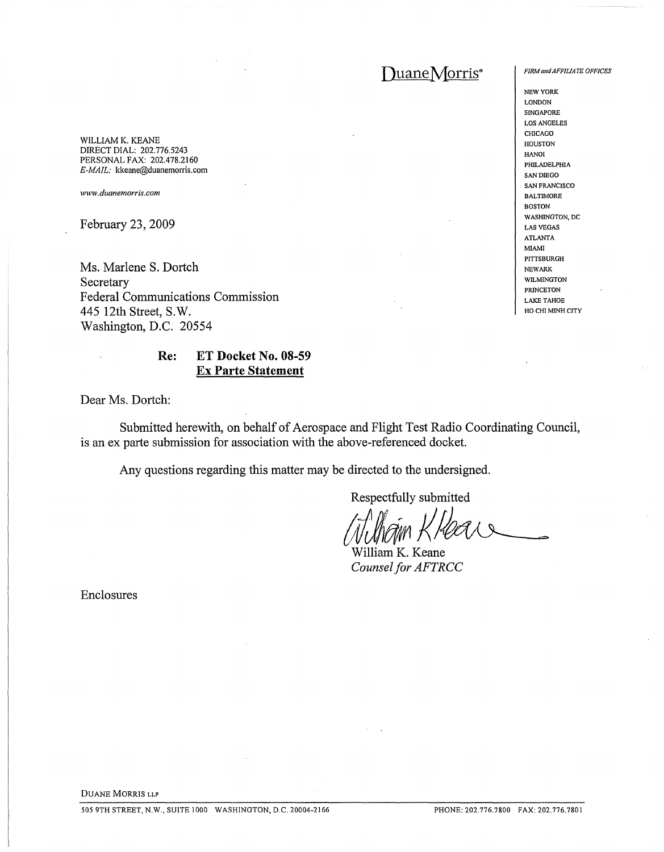# DuaneMorris<sup>®</sup>

WILLIAM K. KEANE DIRECT DIAL: 202.776.5243 PERSONAL FAX: 202.478.2160 *E-MAIL:* kkeane@duanemorris.com

*www.duanemorris.com*

**February 23, 2009**

**Ms. Marlene S. Dortch Secretary Federal Communications Commission 445 12th Street, S.W. Washington, D.C. 20554**

# **Re: ET Docket No. 08-59 Ex Parte Statement**

**Dear Ms. Dortch:**

**Submitted** herewith, on behalf of Aerospace and Flight Test Radio Coordinating Council, **is an ex parte submission for association with the above-referenced docket.**

**Any questions regarding this matter may be directed to the undersigned.**

**Respectfully submitted**

(Jilham Khear

**William K. Keane Counsel for AFTRCC** 

**Enclosures**

*FIRM alldAFFILIATE OFFICES*

NEW YORK LONDON SINGAPORE LOS ANGELES CHICAGO HOUSTON HANOI PHil.ADELPHIA SAN DIEGO SAN FRANCISCO BALTIMORE BOSTON WASHINGTON. DC LAS VEGAS ATLANTA MIAMI PITTSBURGH NEWARK WILMINGTON PRINCETON LAKE TAHOE HO CHI MINH CITY

DUANE MORRIS LLP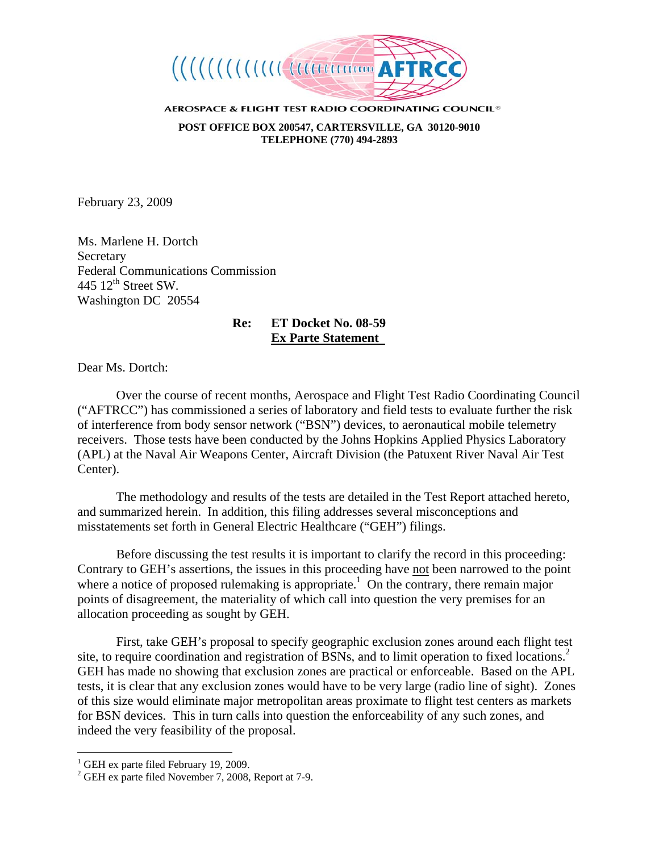

AEROSPACE & FLIGHT TEST RADIO COORDINATING COUNCIL<sup>®</sup> **POST OFFICE BOX 200547, CARTERSVILLE, GA 30120-9010 TELEPHONE (770) 494-2893**

February 23, 2009

Ms. Marlene H. Dortch Secretary Federal Communications Commission 445  $12^{th}$  Street SW. Washington DC 20554

# **Re: ET Docket No. 08-59 Ex Parte Statement**

Dear Ms. Dortch:

Over the course of recent months, Aerospace and Flight Test Radio Coordinating Council ("AFTRCC") has commissioned a series of laboratory and field tests to evaluate further the risk of interference from body sensor network ("BSN") devices, to aeronautical mobile telemetry receivers. Those tests have been conducted by the Johns Hopkins Applied Physics Laboratory (APL) at the Naval Air Weapons Center, Aircraft Division (the Patuxent River Naval Air Test Center).

The methodology and results of the tests are detailed in the Test Report attached hereto, and summarized herein. In addition, this filing addresses several misconceptions and misstatements set forth in General Electric Healthcare ("GEH") filings.

 Before discussing the test results it is important to clarify the record in this proceeding: Contrary to GEH's assertions, the issues in this proceeding have not been narrowed to the point where a notice of proposed rulemaking is appropriate.<sup>1</sup> On the contrary, there remain major points of disagreement, the materiality of which call into question the very premises for an allocation proceeding as sought by GEH.

 First, take GEH's proposal to specify geographic exclusion zones around each flight test site, to require coordination and registration of BSNs, and to limit operation to fixed locations.<sup>2</sup> GEH has made no showing that exclusion zones are practical or enforceable. Based on the APL tests, it is clear that any exclusion zones would have to be very large (radio line of sight). Zones of this size would eliminate major metropolitan areas proximate to flight test centers as markets for BSN devices. This in turn calls into question the enforceability of any such zones, and indeed the very feasibility of the proposal.

 1 GEH ex parte filed February 19, 2009.

<sup>&</sup>lt;sup>2</sup> GEH ex parte filed November 7, 2008, Report at 7-9.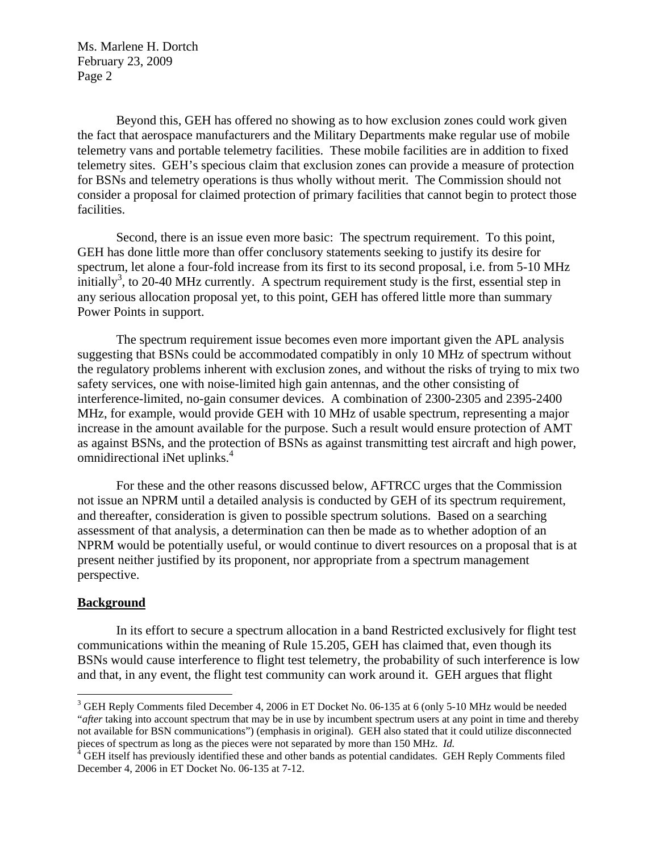Beyond this, GEH has offered no showing as to how exclusion zones could work given the fact that aerospace manufacturers and the Military Departments make regular use of mobile telemetry vans and portable telemetry facilities. These mobile facilities are in addition to fixed telemetry sites. GEH's specious claim that exclusion zones can provide a measure of protection for BSNs and telemetry operations is thus wholly without merit. The Commission should not consider a proposal for claimed protection of primary facilities that cannot begin to protect those facilities.

 Second, there is an issue even more basic: The spectrum requirement. To this point, GEH has done little more than offer conclusory statements seeking to justify its desire for spectrum, let alone a four-fold increase from its first to its second proposal, i.e. from 5-10 MHz initially<sup>3</sup>, to 20-40 MHz currently. A spectrum requirement study is the first, essential step in any serious allocation proposal yet, to this point, GEH has offered little more than summary Power Points in support.

The spectrum requirement issue becomes even more important given the APL analysis suggesting that BSNs could be accommodated compatibly in only 10 MHz of spectrum without the regulatory problems inherent with exclusion zones, and without the risks of trying to mix two safety services, one with noise-limited high gain antennas, and the other consisting of interference-limited, no-gain consumer devices. A combination of 2300-2305 and 2395-2400 MHz, for example, would provide GEH with 10 MHz of usable spectrum, representing a major increase in the amount available for the purpose. Such a result would ensure protection of AMT as against BSNs, and the protection of BSNs as against transmitting test aircraft and high power, omnidirectional iNet uplinks.<sup>4</sup>

 For these and the other reasons discussed below, AFTRCC urges that the Commission not issue an NPRM until a detailed analysis is conducted by GEH of its spectrum requirement, and thereafter, consideration is given to possible spectrum solutions. Based on a searching assessment of that analysis, a determination can then be made as to whether adoption of an NPRM would be potentially useful, or would continue to divert resources on a proposal that is at present neither justified by its proponent, nor appropriate from a spectrum management perspective.

#### **Background**

 $\overline{a}$ 

In its effort to secure a spectrum allocation in a band Restricted exclusively for flight test communications within the meaning of Rule 15.205, GEH has claimed that, even though its BSNs would cause interference to flight test telemetry, the probability of such interference is low and that, in any event, the flight test community can work around it. GEH argues that flight

<sup>&</sup>lt;sup>3</sup> GEH Reply Comments filed December 4, 2006 in ET Docket No. 06-135 at 6 (only 5-10 MHz would be needed "*after* taking into account spectrum that may be in use by incumbent spectrum users at any point in time and thereby not available for BSN communications") (emphasis in original). GEH also stated that it could utilize disconnected pieces of spectrum as long as the pieces were not separated by more than 150 MHz. *Id*.<br><sup>4</sup> GEH itself has previously identified these and other bands as potential candidates. GEH Reply Comments filed

December 4, 2006 in ET Docket No. 06-135 at 7-12.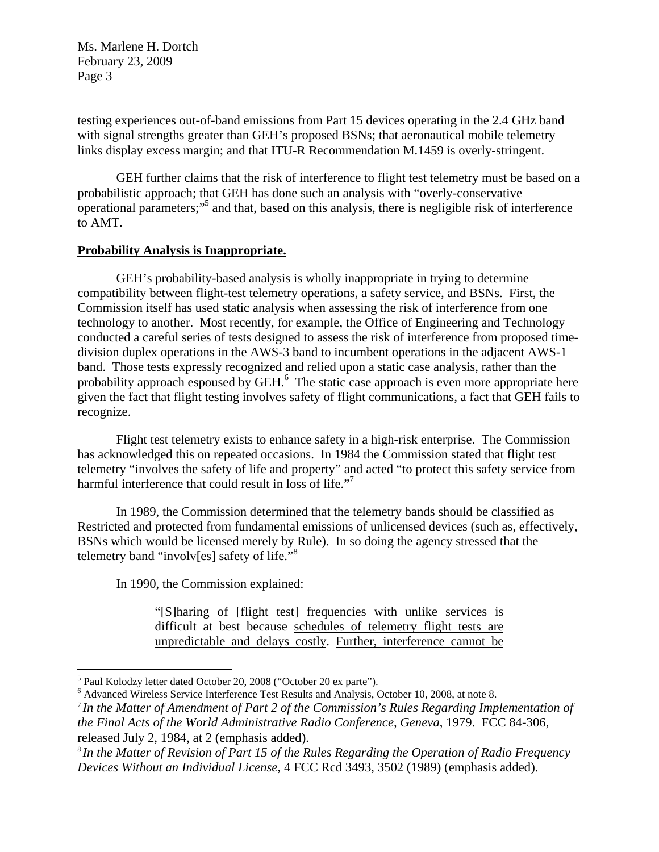testing experiences out-of-band emissions from Part 15 devices operating in the 2.4 GHz band with signal strengths greater than GEH's proposed BSNs; that aeronautical mobile telemetry links display excess margin; and that ITU-R Recommendation M.1459 is overly-stringent.

GEH further claims that the risk of interference to flight test telemetry must be based on a probabilistic approach; that GEH has done such an analysis with "overly-conservative operational parameters;"<sup>5</sup> and that, based on this analysis, there is negligible risk of interference to AMT.

# **Probability Analysis is Inappropriate.**

GEH's probability-based analysis is wholly inappropriate in trying to determine compatibility between flight-test telemetry operations, a safety service, and BSNs. First, the Commission itself has used static analysis when assessing the risk of interference from one technology to another. Most recently, for example, the Office of Engineering and Technology conducted a careful series of tests designed to assess the risk of interference from proposed timedivision duplex operations in the AWS-3 band to incumbent operations in the adjacent AWS-1 band. Those tests expressly recognized and relied upon a static case analysis, rather than the probability approach espoused by GEH.<sup>6</sup> The static case approach is even more appropriate here given the fact that flight testing involves safety of flight communications, a fact that GEH fails to recognize.

Flight test telemetry exists to enhance safety in a high-risk enterprise. The Commission has acknowledged this on repeated occasions. In 1984 the Commission stated that flight test telemetry "involves the safety of life and property" and acted "to protect this safety service from harmful interference that could result in loss of life."

In 1989, the Commission determined that the telemetry bands should be classified as Restricted and protected from fundamental emissions of unlicensed devices (such as, effectively, BSNs which would be licensed merely by Rule). In so doing the agency stressed that the telemetry band "involv[es] safety of life."<sup>8</sup>

In 1990, the Commission explained:

"[S]haring of [flight test] frequencies with unlike services is difficult at best because schedules of telemetry flight tests are unpredictable and delays costly. Further, interference cannot be

<sup>8</sup>*In the Matter of Revision of Part 15 of the Rules Regarding the Operation of Radio Frequency Devices Without an Individual License*, 4 FCC Rcd 3493, 3502 (1989) (emphasis added).

 5 Paul Kolodzy letter dated October 20, 2008 ("October 20 ex parte").

<sup>6</sup> Advanced Wireless Service Interference Test Results and Analysis, October 10, 2008, at note 8.

<sup>7</sup>*In the Matter of Amendment of Part 2 of the Commission's Rules Regarding Implementation of the Final Acts of the World Administrative Radio Conference, Geneva*, 1979. FCC 84-306, released July 2, 1984, at 2 (emphasis added).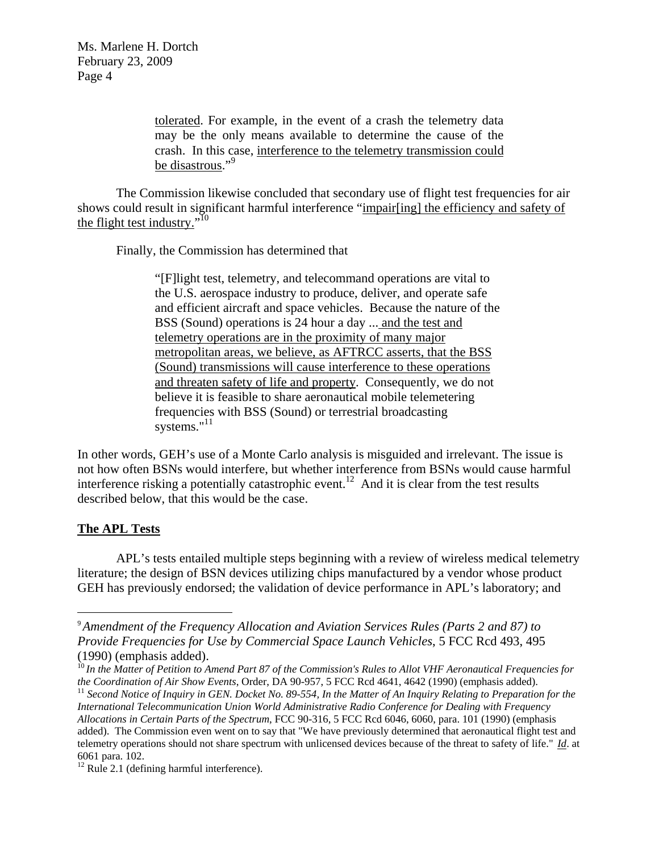> tolerated. For example, in the event of a crash the telemetry data may be the only means available to determine the cause of the crash. In this case, interference to the telemetry transmission could be disastrous."<sup>9</sup>

The Commission likewise concluded that secondary use of flight test frequencies for air shows could result in significant harmful interference "impair[ing] the efficiency and safety of the flight test industry."<sup>10</sup>

Finally, the Commission has determined that

"[F]light test, telemetry, and telecommand operations are vital to the U.S. aerospace industry to produce, deliver, and operate safe and efficient aircraft and space vehicles. Because the nature of the BSS (Sound) operations is 24 hour a day ... and the test and telemetry operations are in the proximity of many major metropolitan areas, we believe, as AFTRCC asserts, that the BSS (Sound) transmissions will cause interference to these operations and threaten safety of life and property. Consequently, we do not believe it is feasible to share aeronautical mobile telemetering frequencies with BSS (Sound) or terrestrial broadcasting systems."<sup>11</sup>

In other words, GEH's use of a Monte Carlo analysis is misguided and irrelevant. The issue is not how often BSNs would interfere, but whether interference from BSNs would cause harmful interference risking a potentially catastrophic event.<sup>12</sup> And it is clear from the test results described below, that this would be the case.

# **The APL Tests**

1

APL's tests entailed multiple steps beginning with a review of wireless medical telemetry literature; the design of BSN devices utilizing chips manufactured by a vendor whose product GEH has previously endorsed; the validation of device performance in APL's laboratory; and

<sup>9</sup>*Amendment of the Frequency Allocation and Aviation Services Rules (Parts 2 and 87) to Provide Frequencies for Use by Commercial Space Launch Vehicles*, 5 FCC Rcd 493, 495 (1990) (emphasis added).

<sup>&</sup>lt;sup>10</sup> In the Matter of Petition to Amend Part 87 of the Commission's Rules to Allot VHF Aeronautical Frequencies for the Coordination of Air Show Events, Order, DA 90-957, 5 FCC Rcd 4641, 4642 (1990) (emphasis added).

 $^{11}$  Second Notice of Inquiry in GEN. Docket No. 89-554, In the Matter of An Inquiry Relating to Preparation for the *International Telecommunication Union World Administrative Radio Conference for Dealing with Frequency Allocations in Certain Parts of the Spectrum*, FCC 90-316, 5 FCC Rcd 6046, 6060, para. 101 (1990) (emphasis added). The Commission even went on to say that "We have previously determined that aeronautical flight test and telemetry operations should not share spectrum with unlicensed devices because of the threat to safety of life." *Id*. at 6061 para. 102.

 $12$  Rule 2.1 (defining harmful interference).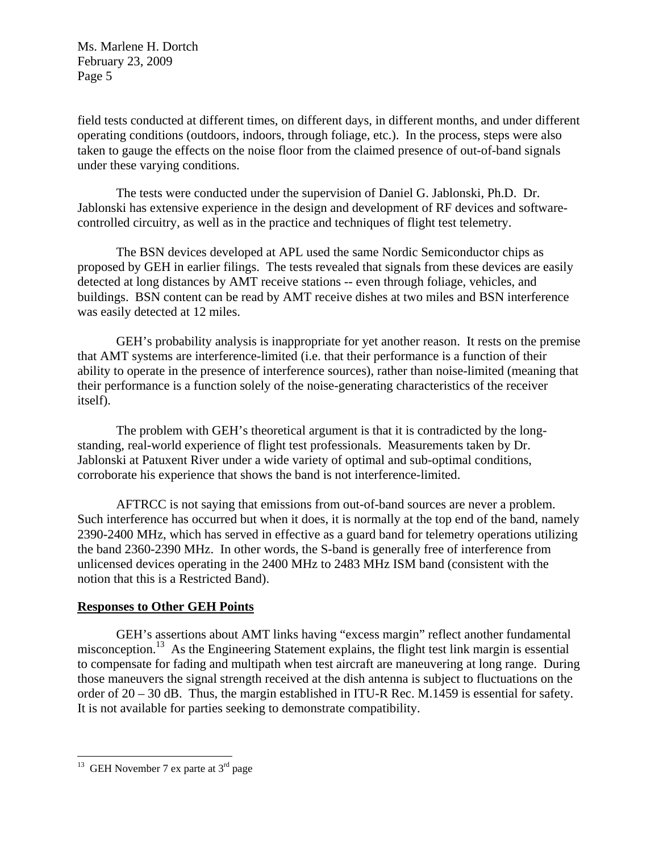field tests conducted at different times, on different days, in different months, and under different operating conditions (outdoors, indoors, through foliage, etc.). In the process, steps were also taken to gauge the effects on the noise floor from the claimed presence of out-of-band signals under these varying conditions.

 The tests were conducted under the supervision of Daniel G. Jablonski, Ph.D. Dr. Jablonski has extensive experience in the design and development of RF devices and softwarecontrolled circuitry, as well as in the practice and techniques of flight test telemetry.

 The BSN devices developed at APL used the same Nordic Semiconductor chips as proposed by GEH in earlier filings. The tests revealed that signals from these devices are easily detected at long distances by AMT receive stations -- even through foliage, vehicles, and buildings. BSN content can be read by AMT receive dishes at two miles and BSN interference was easily detected at 12 miles.

 GEH's probability analysis is inappropriate for yet another reason. It rests on the premise that AMT systems are interference-limited (i.e. that their performance is a function of their ability to operate in the presence of interference sources), rather than noise-limited (meaning that their performance is a function solely of the noise-generating characteristics of the receiver itself).

 The problem with GEH's theoretical argument is that it is contradicted by the longstanding, real-world experience of flight test professionals. Measurements taken by Dr. Jablonski at Patuxent River under a wide variety of optimal and sub-optimal conditions, corroborate his experience that shows the band is not interference-limited.

AFTRCC is not saying that emissions from out-of-band sources are never a problem. Such interference has occurred but when it does, it is normally at the top end of the band, namely 2390-2400 MHz, which has served in effective as a guard band for telemetry operations utilizing the band 2360-2390 MHz. In other words, the S-band is generally free of interference from unlicensed devices operating in the 2400 MHz to 2483 MHz ISM band (consistent with the notion that this is a Restricted Band).

# **Responses to Other GEH Points**

GEH's assertions about AMT links having "excess margin" reflect another fundamental misconception.<sup>13</sup> As the Engineering Statement explains, the flight test link margin is essential to compensate for fading and multipath when test aircraft are maneuvering at long range. During those maneuvers the signal strength received at the dish antenna is subject to fluctuations on the order of 20 – 30 dB. Thus, the margin established in ITU-R Rec. M.1459 is essential for safety. It is not available for parties seeking to demonstrate compatibility.

<sup>&</sup>lt;sup>13</sup> GEH November 7 ex parte at  $3<sup>rd</sup>$  page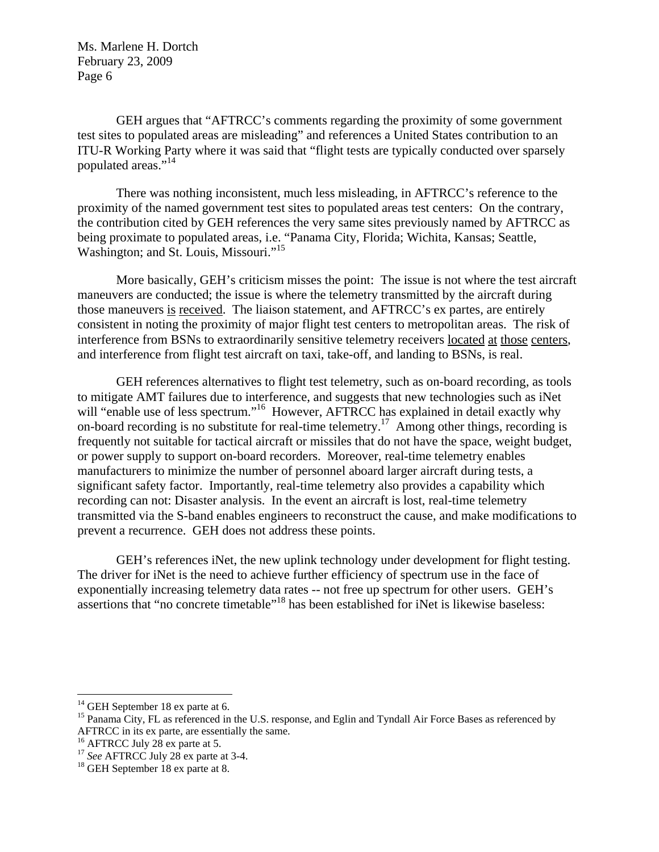GEH argues that "AFTRCC's comments regarding the proximity of some government test sites to populated areas are misleading" and references a United States contribution to an ITU-R Working Party where it was said that "flight tests are typically conducted over sparsely populated areas."<sup>14</sup>

There was nothing inconsistent, much less misleading, in AFTRCC's reference to the proximity of the named government test sites to populated areas test centers: On the contrary, the contribution cited by GEH references the very same sites previously named by AFTRCC as being proximate to populated areas, i.e. "Panama City, Florida; Wichita, Kansas; Seattle, Washington; and St. Louis, Missouri."<sup>15</sup>

More basically, GEH's criticism misses the point: The issue is not where the test aircraft maneuvers are conducted; the issue is where the telemetry transmitted by the aircraft during those maneuvers is received. The liaison statement, and AFTRCC's ex partes, are entirely consistent in noting the proximity of major flight test centers to metropolitan areas. The risk of interference from BSNs to extraordinarily sensitive telemetry receivers located at those centers, and interference from flight test aircraft on taxi, take-off, and landing to BSNs, is real.

 GEH references alternatives to flight test telemetry, such as on-board recording, as tools to mitigate AMT failures due to interference, and suggests that new technologies such as iNet will "enable use of less spectrum."<sup>16</sup> However, AFTRCC has explained in detail exactly why on-board recording is no substitute for real-time telemetry.<sup>17</sup> Among other things, recording is frequently not suitable for tactical aircraft or missiles that do not have the space, weight budget, or power supply to support on-board recorders. Moreover, real-time telemetry enables manufacturers to minimize the number of personnel aboard larger aircraft during tests, a significant safety factor. Importantly, real-time telemetry also provides a capability which recording can not: Disaster analysis. In the event an aircraft is lost, real-time telemetry transmitted via the S-band enables engineers to reconstruct the cause, and make modifications to prevent a recurrence. GEH does not address these points.

GEH's references iNet, the new uplink technology under development for flight testing. The driver for iNet is the need to achieve further efficiency of spectrum use in the face of exponentially increasing telemetry data rates -- not free up spectrum for other users. GEH's assertions that "no concrete timetable"18 has been established for iNet is likewise baseless:

 $14$  GEH September 18 ex parte at 6.

<sup>&</sup>lt;sup>15</sup> Panama City, FL as referenced in the U.S. response, and Eglin and Tyndall Air Force Bases as referenced by AFTRCC in its ex parte, are essentially the same.

<sup>&</sup>lt;sup>16</sup> AFTRCC July 28 ex parte at 5.

<sup>&</sup>lt;sup>17</sup> *See* AFTRCC July 28 ex parte at 3-4.<br><sup>18</sup> GEH September 18 ex parte at 8.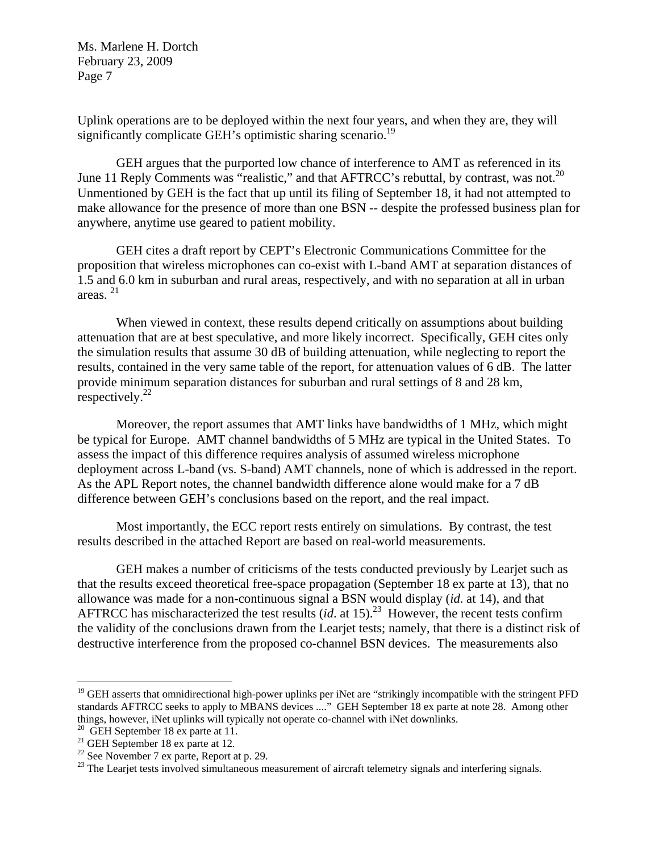Uplink operations are to be deployed within the next four years, and when they are, they will significantly complicate GEH's optimistic sharing scenario.<sup>19</sup>

GEH argues that the purported low chance of interference to AMT as referenced in its June 11 Reply Comments was "realistic," and that AFTRCC's rebuttal, by contrast, was not.<sup>20</sup> Unmentioned by GEH is the fact that up until its filing of September 18, it had not attempted to make allowance for the presence of more than one BSN -- despite the professed business plan for anywhere, anytime use geared to patient mobility.

GEH cites a draft report by CEPT's Electronic Communications Committee for the proposition that wireless microphones can co-exist with L-band AMT at separation distances of 1.5 and 6.0 km in suburban and rural areas, respectively, and with no separation at all in urban areas. 21

When viewed in context, these results depend critically on assumptions about building attenuation that are at best speculative, and more likely incorrect. Specifically, GEH cites only the simulation results that assume 30 dB of building attenuation, while neglecting to report the results, contained in the very same table of the report, for attenuation values of 6 dB. The latter provide minimum separation distances for suburban and rural settings of 8 and 28 km, respectively. $^{22}$ 

Moreover, the report assumes that AMT links have bandwidths of 1 MHz, which might be typical for Europe. AMT channel bandwidths of 5 MHz are typical in the United States. To assess the impact of this difference requires analysis of assumed wireless microphone deployment across L-band (vs. S-band) AMT channels, none of which is addressed in the report. As the APL Report notes, the channel bandwidth difference alone would make for a 7 dB difference between GEH's conclusions based on the report, and the real impact.

Most importantly, the ECC report rests entirely on simulations. By contrast, the test results described in the attached Report are based on real-world measurements.

GEH makes a number of criticisms of the tests conducted previously by Learjet such as that the results exceed theoretical free-space propagation (September 18 ex parte at 13), that no allowance was made for a non-continuous signal a BSN would display (*id*. at 14), and that AFTRCC has mischaracterized the test results  $(id$ . at 15).<sup>23</sup> However, the recent tests confirm the validity of the conclusions drawn from the Learjet tests; namely, that there is a distinct risk of destructive interference from the proposed co-channel BSN devices. The measurements also

<sup>&</sup>lt;sup>19</sup> GEH asserts that omnidirectional high-power uplinks per iNet are "strikingly incompatible with the stringent PFD standards AFTRCC seeks to apply to MBANS devices ...." GEH September 18 ex parte at note 28. Among other things, however, iNet uplinks will typically not operate co-channel with iNet downlinks.<br><sup>20</sup> GEH September 18 ex parte at 11.

<sup>&</sup>lt;sup>21</sup> GEH September 18 ex parte at 12.

 $22$  See November 7 ex parte, Report at p. 29.

<sup>&</sup>lt;sup>23</sup> The Learjet tests involved simultaneous measurement of aircraft telemetry signals and interfering signals.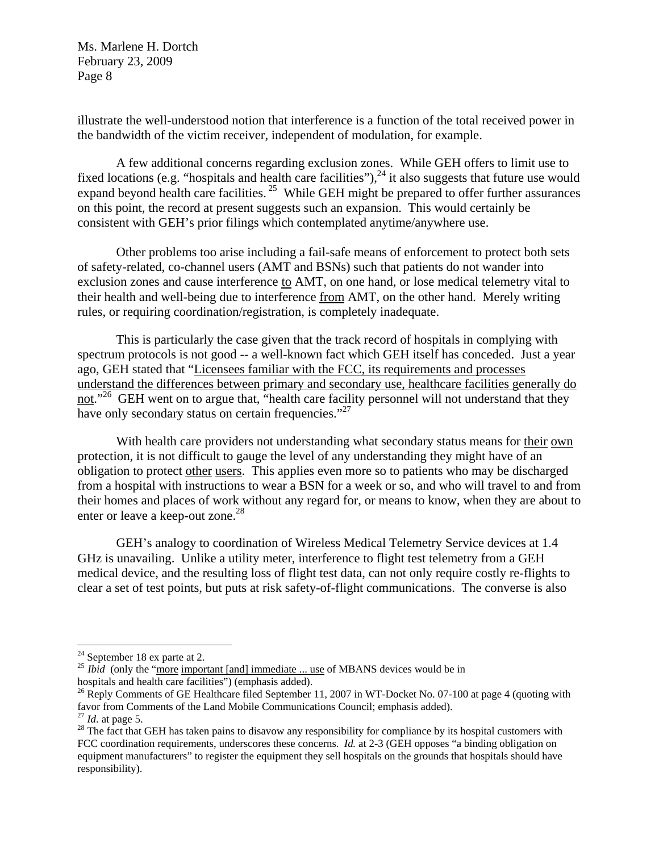illustrate the well-understood notion that interference is a function of the total received power in the bandwidth of the victim receiver, independent of modulation, for example.

A few additional concerns regarding exclusion zones. While GEH offers to limit use to fixed locations (e.g. "hospitals and health care facilities"),  $^{24}$  it also suggests that future use would expand beyond health care facilities.<sup>25</sup> While GEH might be prepared to offer further assurances on this point, the record at present suggests such an expansion. This would certainly be consistent with GEH's prior filings which contemplated anytime/anywhere use.

Other problems too arise including a fail-safe means of enforcement to protect both sets of safety-related, co-channel users (AMT and BSNs) such that patients do not wander into exclusion zones and cause interference to AMT, on one hand, or lose medical telemetry vital to their health and well-being due to interference from AMT, on the other hand. Merely writing rules, or requiring coordination/registration, is completely inadequate.

This is particularly the case given that the track record of hospitals in complying with spectrum protocols is not good -- a well-known fact which GEH itself has conceded. Just a year ago, GEH stated that "Licensees familiar with the FCC, its requirements and processes understand the differences between primary and secondary use, healthcare facilities generally do not."<sup>26</sup> GEH went on to argue that, "health care facility personnel will not understand that they have only secondary status on certain frequencies."<sup>27</sup>

With health care providers not understanding what secondary status means for their own protection, it is not difficult to gauge the level of any understanding they might have of an obligation to protect other users. This applies even more so to patients who may be discharged from a hospital with instructions to wear a BSN for a week or so, and who will travel to and from their homes and places of work without any regard for, or means to know, when they are about to enter or leave a keep-out zone.<sup>28</sup>

GEH's analogy to coordination of Wireless Medical Telemetry Service devices at 1.4 GHz is unavailing. Unlike a utility meter, interference to flight test telemetry from a GEH medical device, and the resulting loss of flight test data, can not only require costly re-flights to clear a set of test points, but puts at risk safety-of-flight communications. The converse is also

 $\overline{a}$ 

<sup>&</sup>lt;sup>24</sup> September 18 ex parte at 2.<br><sup>25</sup> *Ibid* (only the "more important [and] immediate ... use of MBANS devices would be in hospitals and health care facilities") (emphasis added).

<sup>&</sup>lt;sup>26</sup> Reply Comments of GE Healthcare filed September 11, 2007 in WT-Docket No. 07-100 at page 4 (quoting with favor from Comments of the Land Mobile Communications Council; emphasis added).<br><sup>27</sup> *Id.* at page 5.

<sup>&</sup>lt;sup>28</sup> The fact that GEH has taken pains to disavow any responsibility for compliance by its hospital customers with FCC coordination requirements, underscores these concerns. *Id.* at 2-3 (GEH opposes "a binding obligation on equipment manufacturers" to register the equipment they sell hospitals on the grounds that hospitals should have responsibility).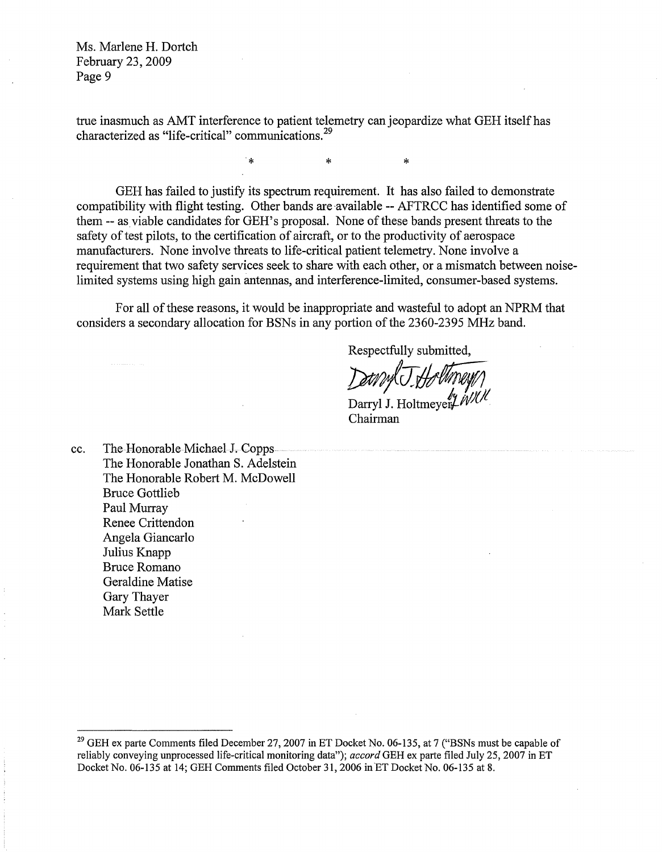true inasmuch as AMT interference to patient telemetry can jeopardize what GEH itselfhas characterized as "life-critical" communications.<sup>29</sup>

 $\ddot{\phantom{a}}$ 

\* \*

GEH has failed to justify its spectrum requirement. It has also failed to demonstrate compatibility with flight testing. Other bands are available -- AFTRCC has identified some of them -- as viable candidates for GEH's proposal. None of these bands present threats to the safety of test pilots, to the certification of aircraft, or to the productivity of aerospace manufacturers. None involve threats to life-critical patient telemetry. None involve a requirement that two safety services seek to share with each other, or a mismatch between noiselimited systems using high gain antennas, and interference-limited, consumer-based systems.

For all of these reasons, it would be inappropriate and wasteful to adopt an NPRM that considers a secondary allocation for BSNs in any portion of the 2360-2395 MHz band.

Respectfully submitted,

Dann J.Holtmeyn

Darryl J. Holtmeyer  $\mu$ Chairman

cc. The Honorable Michael 1. Copps The Honorable Jonathan S. Adelstein The Honorable Robert M. McDowell Bruce Gottlieb Paul Murray Renee Crittendon Angela Giancarlo Julius Knapp Bruce Romano Geraldine Matise Gary Thayer Mark Settle

<sup>&</sup>lt;sup>29</sup> GEH ex parte Comments filed December 27, 2007 in ET Docket No. 06-135, at 7 ("BSNs must be capable of reliably conveying unprocessed life-critical monitoring data"); *accord* GEH ex parte filed July 25, 2007 in ET Docket No. 06-135 at 14; GEH Comments filed October 31,2006 inET Docket No. 06-135 at 8.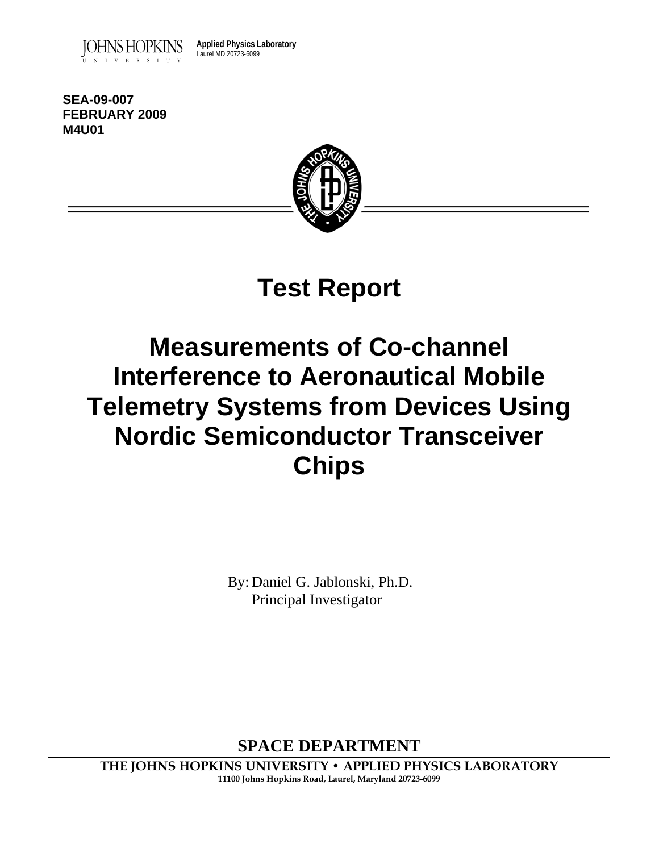

**Applied Physics Laboratory** Laurel MD 20723-6099

**SEA-09-007 FEBRUARY 2009 M4U01** 



# **Test Report**

# **Measurements of Co-channel Interference to Aeronautical Mobile Telemetry Systems from Devices Using Nordic Semiconductor Transceiver Chips**

By: Daniel G. Jablonski, Ph.D. Principal Investigator

**SPACE DEPARTMENT** 

**THE JOHNS HOPKINS UNIVERSITY • APPLIED PHYSICS LABORATORY 11100 Johns Hopkins Road, Laurel, Maryland 20723-6099**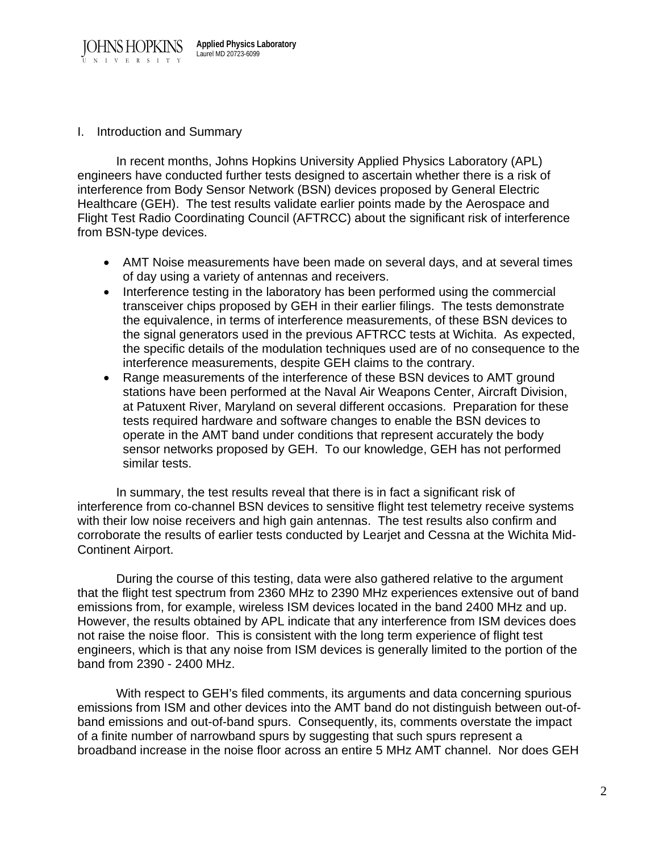

I. Introduction and Summary

 In recent months, Johns Hopkins University Applied Physics Laboratory (APL) engineers have conducted further tests designed to ascertain whether there is a risk of interference from Body Sensor Network (BSN) devices proposed by General Electric Healthcare (GEH). The test results validate earlier points made by the Aerospace and Flight Test Radio Coordinating Council (AFTRCC) about the significant risk of interference from BSN-type devices.

- AMT Noise measurements have been made on several days, and at several times of day using a variety of antennas and receivers.
- Interference testing in the laboratory has been performed using the commercial transceiver chips proposed by GEH in their earlier filings. The tests demonstrate the equivalence, in terms of interference measurements, of these BSN devices to the signal generators used in the previous AFTRCC tests at Wichita. As expected, the specific details of the modulation techniques used are of no consequence to the interference measurements, despite GEH claims to the contrary.
- Range measurements of the interference of these BSN devices to AMT ground stations have been performed at the Naval Air Weapons Center, Aircraft Division, at Patuxent River, Maryland on several different occasions. Preparation for these tests required hardware and software changes to enable the BSN devices to operate in the AMT band under conditions that represent accurately the body sensor networks proposed by GEH. To our knowledge, GEH has not performed similar tests.

In summary, the test results reveal that there is in fact a significant risk of interference from co-channel BSN devices to sensitive flight test telemetry receive systems with their low noise receivers and high gain antennas. The test results also confirm and corroborate the results of earlier tests conducted by Learjet and Cessna at the Wichita Mid-Continent Airport.

 During the course of this testing, data were also gathered relative to the argument that the flight test spectrum from 2360 MHz to 2390 MHz experiences extensive out of band emissions from, for example, wireless ISM devices located in the band 2400 MHz and up. However, the results obtained by APL indicate that any interference from ISM devices does not raise the noise floor. This is consistent with the long term experience of flight test engineers, which is that any noise from ISM devices is generally limited to the portion of the band from 2390 - 2400 MHz.

 With respect to GEH's filed comments, its arguments and data concerning spurious emissions from ISM and other devices into the AMT band do not distinguish between out-ofband emissions and out-of-band spurs. Consequently, its, comments overstate the impact of a finite number of narrowband spurs by suggesting that such spurs represent a broadband increase in the noise floor across an entire 5 MHz AMT channel. Nor does GEH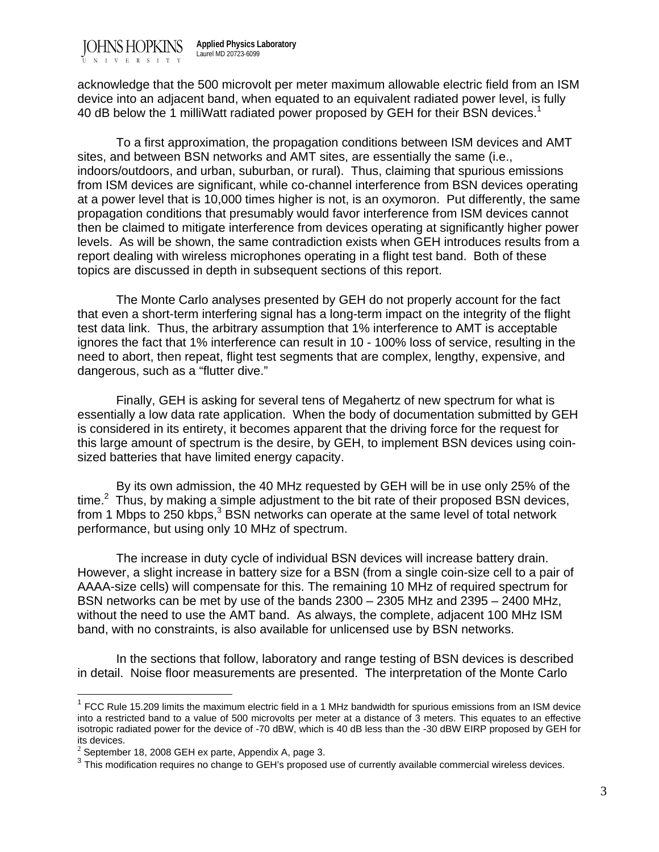acknowledge that the 500 microvolt per meter maximum allowable electric field from an ISM device into an adjacent band, when equated to an equivalent radiated power level, is fully 40 dB below the 1 milliWatt radiated power proposed by GEH for their BSN devices.<sup>1</sup>

To a first approximation, the propagation conditions between ISM devices and AMT sites, and between BSN networks and AMT sites, are essentially the same (i.e., indoors/outdoors, and urban, suburban, or rural). Thus, claiming that spurious emissions from ISM devices are significant, while co-channel interference from BSN devices operating at a power level that is 10,000 times higher is not, is an oxymoron. Put differently, the same propagation conditions that presumably would favor interference from ISM devices cannot then be claimed to mitigate interference from devices operating at significantly higher power levels. As will be shown, the same contradiction exists when GEH introduces results from a report dealing with wireless microphones operating in a flight test band. Both of these topics are discussed in depth in subsequent sections of this report.

 The Monte Carlo analyses presented by GEH do not properly account for the fact that even a short-term interfering signal has a long-term impact on the integrity of the flight test data link. Thus, the arbitrary assumption that 1% interference to AMT is acceptable ignores the fact that 1% interference can result in 10 - 100% loss of service, resulting in the need to abort, then repeat, flight test segments that are complex, lengthy, expensive, and dangerous, such as a "flutter dive."

 Finally, GEH is asking for several tens of Megahertz of new spectrum for what is essentially a low data rate application. When the body of documentation submitted by GEH is considered in its entirety, it becomes apparent that the driving force for the request for this large amount of spectrum is the desire, by GEH, to implement BSN devices using coinsized batteries that have limited energy capacity.

 By its own admission, the 40 MHz requested by GEH will be in use only 25% of the time. $2$  Thus, by making a simple adjustment to the bit rate of their proposed BSN devices, from 1 Mbps to 250 kbps, $3$  BSN networks can operate at the same level of total network performance, but using only 10 MHz of spectrum.

 The increase in duty cycle of individual BSN devices will increase battery drain. However, a slight increase in battery size for a BSN (from a single coin-size cell to a pair of AAAA-size cells) will compensate for this. The remaining 10 MHz of required spectrum for BSN networks can be met by use of the bands 2300 – 2305 MHz and 2395 – 2400 MHz, without the need to use the AMT band. As always, the complete, adjacent 100 MHz ISM band, with no constraints, is also available for unlicensed use by BSN networks.

In the sections that follow, laboratory and range testing of BSN devices is described in detail. Noise floor measurements are presented. The interpretation of the Monte Carlo

 $1$  FCC Rule 15.209 limits the maximum electric field in a 1 MHz bandwidth for spurious emissions from an ISM device into a restricted band to a value of 500 microvolts per meter at a distance of 3 meters. This equates to an effective isotropic radiated power for the device of -70 dBW, which is 40 dB less than the -30 dBW EIRP proposed by GEH for its devices.

 $2$  September 18, 2008 GEH ex parte, Appendix A, page 3.

 $3$  This modification requires no change to GEH's proposed use of currently available commercial wireless devices.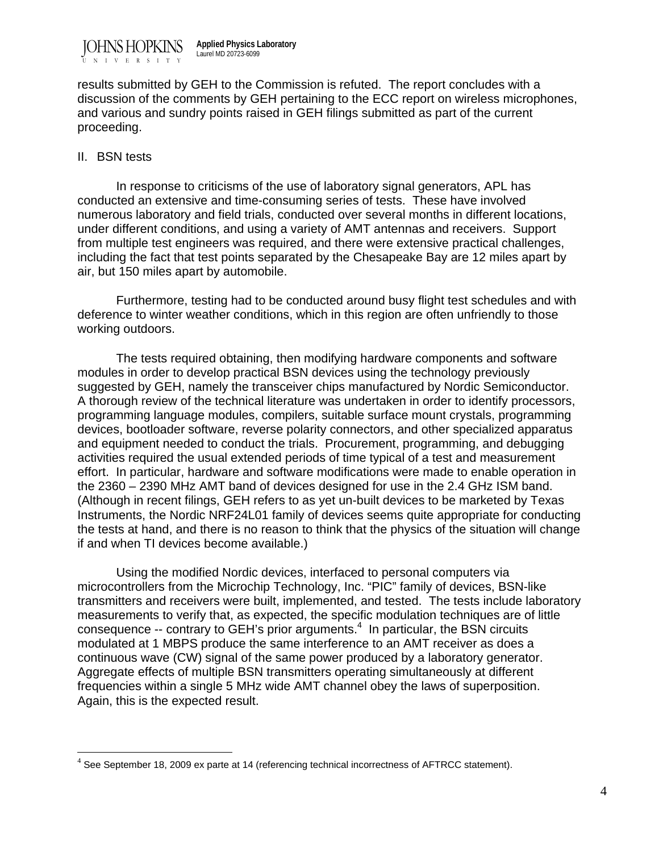

results submitted by GEH to the Commission is refuted. The report concludes with a discussion of the comments by GEH pertaining to the ECC report on wireless microphones, and various and sundry points raised in GEH filings submitted as part of the current proceeding.

#### II. BSN tests

 $\overline{a}$ 

 In response to criticisms of the use of laboratory signal generators, APL has conducted an extensive and time-consuming series of tests. These have involved numerous laboratory and field trials, conducted over several months in different locations, under different conditions, and using a variety of AMT antennas and receivers. Support from multiple test engineers was required, and there were extensive practical challenges, including the fact that test points separated by the Chesapeake Bay are 12 miles apart by air, but 150 miles apart by automobile.

 Furthermore, testing had to be conducted around busy flight test schedules and with deference to winter weather conditions, which in this region are often unfriendly to those working outdoors.

The tests required obtaining, then modifying hardware components and software modules in order to develop practical BSN devices using the technology previously suggested by GEH, namely the transceiver chips manufactured by Nordic Semiconductor. A thorough review of the technical literature was undertaken in order to identify processors, programming language modules, compilers, suitable surface mount crystals, programming devices, bootloader software, reverse polarity connectors, and other specialized apparatus and equipment needed to conduct the trials. Procurement, programming, and debugging activities required the usual extended periods of time typical of a test and measurement effort. In particular, hardware and software modifications were made to enable operation in the 2360 – 2390 MHz AMT band of devices designed for use in the 2.4 GHz ISM band. (Although in recent filings, GEH refers to as yet un-built devices to be marketed by Texas Instruments, the Nordic NRF24L01 family of devices seems quite appropriate for conducting the tests at hand, and there is no reason to think that the physics of the situation will change if and when TI devices become available.)

 Using the modified Nordic devices, interfaced to personal computers via microcontrollers from the Microchip Technology, Inc. "PIC" family of devices, BSN-like transmitters and receivers were built, implemented, and tested. The tests include laboratory measurements to verify that, as expected, the specific modulation techniques are of little consequence  $-$  contrary to GEH's prior arguments.<sup>4</sup> In particular, the BSN circuits modulated at 1 MBPS produce the same interference to an AMT receiver as does a continuous wave (CW) signal of the same power produced by a laboratory generator. Aggregate effects of multiple BSN transmitters operating simultaneously at different frequencies within a single 5 MHz wide AMT channel obey the laws of superposition. Again, this is the expected result.

 $<sup>4</sup>$  See September 18, 2009 ex parte at 14 (referencing technical incorrectness of AFTRCC statement).</sup>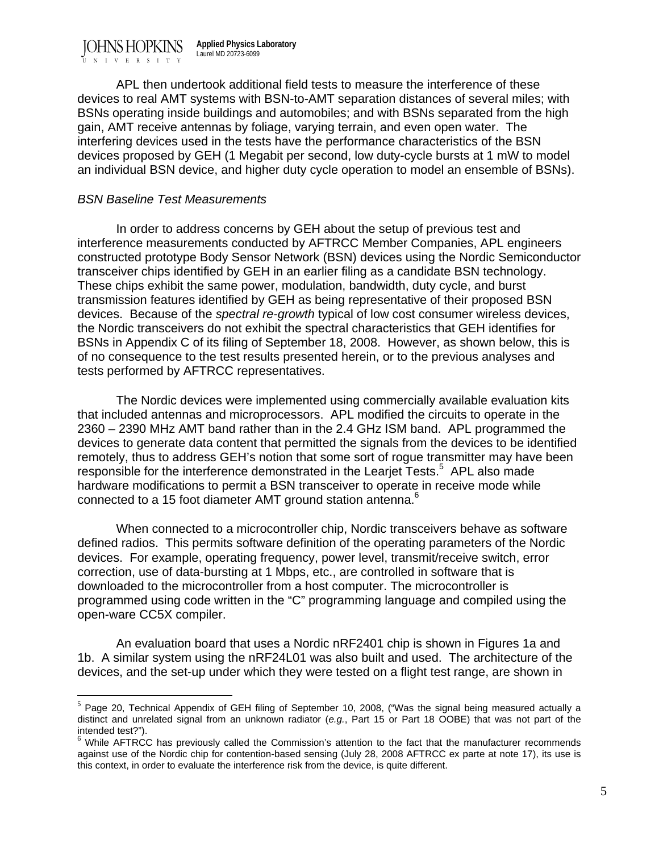JOHNS HOPKINS UNIVERSITY **Applied Physics Laboratory** Laurel MD 20723-6099

 APL then undertook additional field tests to measure the interference of these devices to real AMT systems with BSN-to-AMT separation distances of several miles; with BSNs operating inside buildings and automobiles; and with BSNs separated from the high gain, AMT receive antennas by foliage, varying terrain, and even open water. The interfering devices used in the tests have the performance characteristics of the BSN devices proposed by GEH (1 Megabit per second, low duty-cycle bursts at 1 mW to model an individual BSN device, and higher duty cycle operation to model an ensemble of BSNs).

#### *BSN Baseline Test Measurements*

 $\overline{a}$ 

In order to address concerns by GEH about the setup of previous test and interference measurements conducted by AFTRCC Member Companies, APL engineers constructed prototype Body Sensor Network (BSN) devices using the Nordic Semiconductor transceiver chips identified by GEH in an earlier filing as a candidate BSN technology. These chips exhibit the same power, modulation, bandwidth, duty cycle, and burst transmission features identified by GEH as being representative of their proposed BSN devices. Because of the *spectral re-growth* typical of low cost consumer wireless devices, the Nordic transceivers do not exhibit the spectral characteristics that GEH identifies for BSNs in Appendix C of its filing of September 18, 2008. However, as shown below, this is of no consequence to the test results presented herein, or to the previous analyses and tests performed by AFTRCC representatives.

 The Nordic devices were implemented using commercially available evaluation kits that included antennas and microprocessors. APL modified the circuits to operate in the 2360 – 2390 MHz AMT band rather than in the 2.4 GHz ISM band. APL programmed the devices to generate data content that permitted the signals from the devices to be identified remotely, thus to address GEH's notion that some sort of rogue transmitter may have been responsible for the interference demonstrated in the Learjet Tests.<sup>5</sup> APL also made hardware modifications to permit a BSN transceiver to operate in receive mode while connected to a 15 foot diameter AMT ground station antenna.<sup>6</sup>

When connected to a microcontroller chip, Nordic transceivers behave as software defined radios. This permits software definition of the operating parameters of the Nordic devices. For example, operating frequency, power level, transmit/receive switch, error correction, use of data-bursting at 1 Mbps, etc., are controlled in software that is downloaded to the microcontroller from a host computer. The microcontroller is programmed using code written in the "C" programming language and compiled using the open-ware CC5X compiler.

An evaluation board that uses a Nordic nRF2401 chip is shown in Figures 1a and 1b. A similar system using the nRF24L01 was also built and used. The architecture of the devices, and the set-up under which they were tested on a flight test range, are shown in

 $^5$  Page 20, Technical Appendix of GEH filing of September 10, 2008, ("Was the signal being measured actually a distinct and unrelated signal from an unknown radiator (*e.g.*, Part 15 or Part 18 OOBE) that was not part of the intended test?").

 $<sup>6</sup>$  While AFTRCC has previously called the Commission's attention to the fact that the manufacturer recommends</sup> against use of the Nordic chip for contention-based sensing (July 28, 2008 AFTRCC ex parte at note 17), its use is this context, in order to evaluate the interference risk from the device, is quite different.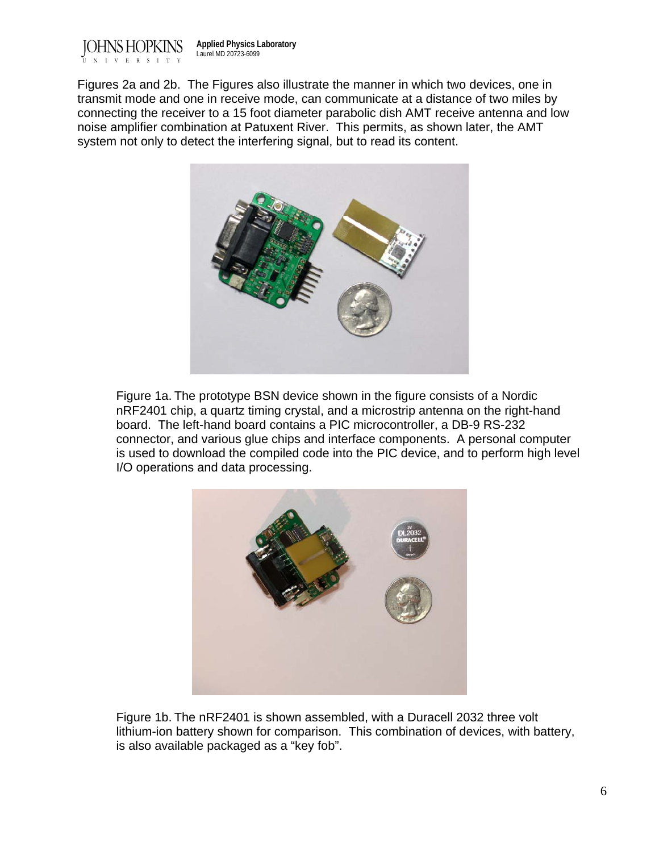

Figures 2a and 2b. The Figures also illustrate the manner in which two devices, one in transmit mode and one in receive mode, can communicate at a distance of two miles by connecting the receiver to a 15 foot diameter parabolic dish AMT receive antenna and low noise amplifier combination at Patuxent River. This permits, as shown later, the AMT system not only to detect the interfering signal, but to read its content.



Figure 1a. The prototype BSN device shown in the figure consists of a Nordic nRF2401 chip, a quartz timing crystal, and a microstrip antenna on the right-hand board. The left-hand board contains a PIC microcontroller, a DB-9 RS-232 connector, and various glue chips and interface components. A personal computer is used to download the compiled code into the PIC device, and to perform high level I/O operations and data processing.



Figure 1b. The nRF2401 is shown assembled, with a Duracell 2032 three volt lithium-ion battery shown for comparison. This combination of devices, with battery, is also available packaged as a "key fob".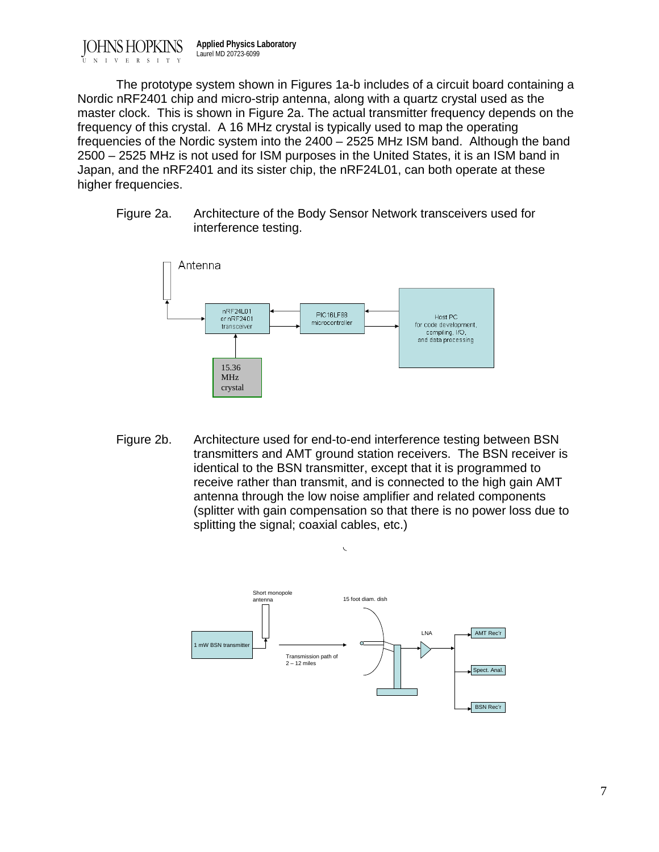JOHNS HOPKINS VERSITY **Applied Physics Laboratory** Laurel MD 20723-6099

The prototype system shown in Figures 1a-b includes of a circuit board containing a Nordic nRF2401 chip and micro-strip antenna, along with a quartz crystal used as the master clock. This is shown in Figure 2a. The actual transmitter frequency depends on the frequency of this crystal. A 16 MHz crystal is typically used to map the operating frequencies of the Nordic system into the 2400 – 2525 MHz ISM band. Although the band 2500 – 2525 MHz is not used for ISM purposes in the United States, it is an ISM band in Japan, and the nRF2401 and its sister chip, the nRF24L01, can both operate at these higher frequencies.

Figure 2a. Architecture of the Body Sensor Network transceivers used for interference testing.



Figure 2b. Architecture used for end-to-end interference testing between BSN transmitters and AMT ground station receivers. The BSN receiver is identical to the BSN transmitter, except that it is programmed to receive rather than transmit, and is connected to the high gain AMT antenna through the low noise amplifier and related components (splitter with gain compensation so that there is no power loss due to splitting the signal; coaxial cables, etc.)

 $\sqrt{2}$ 

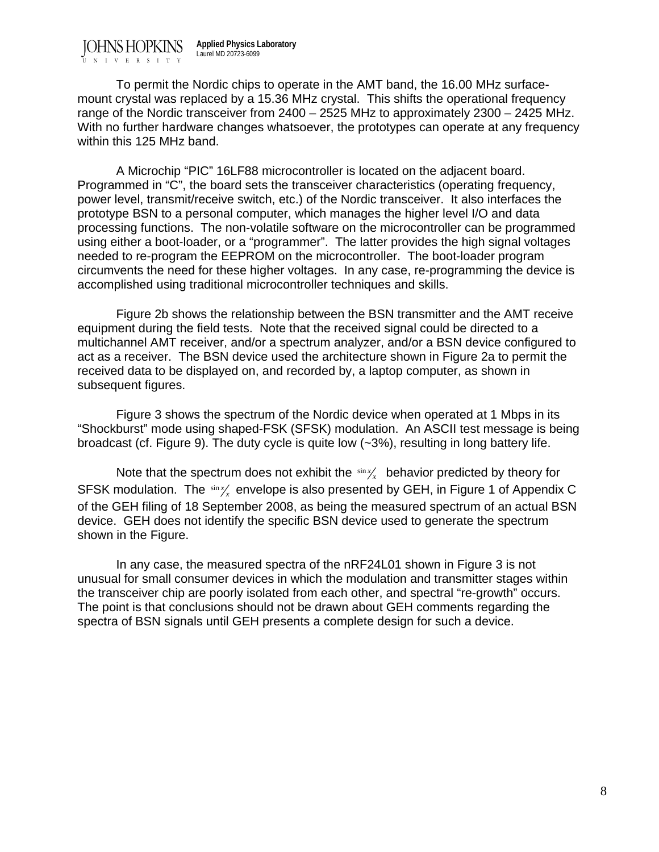JOHNS HOPKINS **Applied Physics Laboratory** Laurel MD 20723-6099

UNIVERSITY

To permit the Nordic chips to operate in the AMT band, the 16.00 MHz surfacemount crystal was replaced by a 15.36 MHz crystal. This shifts the operational frequency range of the Nordic transceiver from 2400 – 2525 MHz to approximately 2300 – 2425 MHz. With no further hardware changes whatsoever, the prototypes can operate at any frequency within this 125 MHz band.

 A Microchip "PIC" 16LF88 microcontroller is located on the adjacent board. Programmed in "C", the board sets the transceiver characteristics (operating frequency, power level, transmit/receive switch, etc.) of the Nordic transceiver. It also interfaces the prototype BSN to a personal computer, which manages the higher level I/O and data processing functions. The non-volatile software on the microcontroller can be programmed using either a boot-loader, or a "programmer". The latter provides the high signal voltages needed to re-program the EEPROM on the microcontroller. The boot-loader program circumvents the need for these higher voltages. In any case, re-programming the device is accomplished using traditional microcontroller techniques and skills.

 Figure 2b shows the relationship between the BSN transmitter and the AMT receive equipment during the field tests. Note that the received signal could be directed to a multichannel AMT receiver, and/or a spectrum analyzer, and/or a BSN device configured to act as a receiver. The BSN device used the architecture shown in Figure 2a to permit the received data to be displayed on, and recorded by, a laptop computer, as shown in subsequent figures.

 Figure 3 shows the spectrum of the Nordic device when operated at 1 Mbps in its "Shockburst" mode using shaped-FSK (SFSK) modulation. An ASCII test message is being broadcast (cf. Figure 9). The duty cycle is quite low (~3%), resulting in long battery life.

Note that the spectrum does not exhibit the  $\frac{\sin x}{x}$  behavior predicted by theory for SFSK modulation. The  $\sin x$  envelope is also presented by GEH, in Figure 1 of Appendix C of the GEH filing of 18 September 2008, as being the measured spectrum of an actual BSN device. GEH does not identify the specific BSN device used to generate the spectrum shown in the Figure.

In any case, the measured spectra of the nRF24L01 shown in Figure 3 is not unusual for small consumer devices in which the modulation and transmitter stages within the transceiver chip are poorly isolated from each other, and spectral "re-growth" occurs. The point is that conclusions should not be drawn about GEH comments regarding the spectra of BSN signals until GEH presents a complete design for such a device.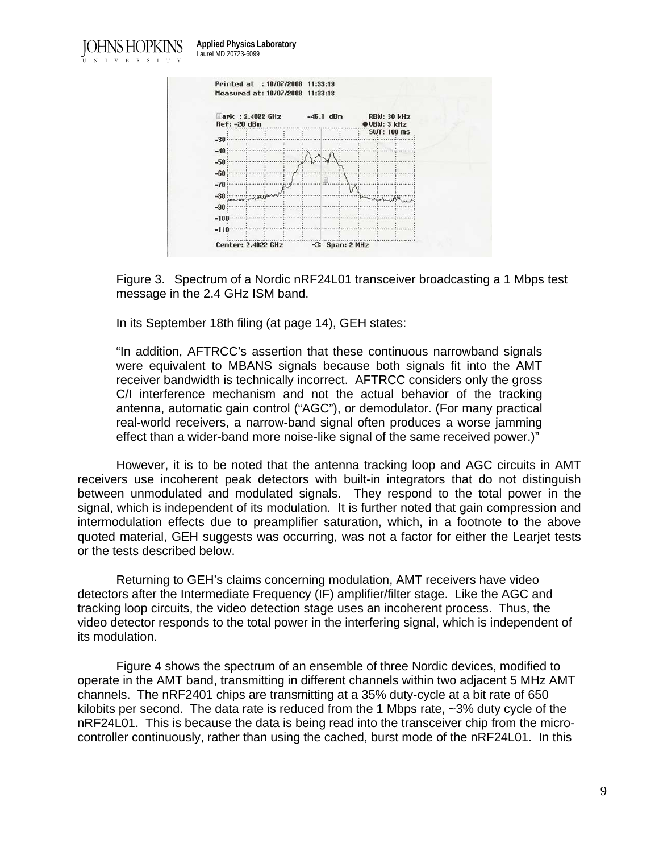JOHNS HOPKINS UNIVERSITY **Applied Physics Laboratory** Laurel MD 20723-6099



Figure 3. Spectrum of a Nordic nRF24L01 transceiver broadcasting a 1 Mbps test message in the 2.4 GHz ISM band.

In its September 18th filing (at page 14), GEH states:

"In addition, AFTRCC's assertion that these continuous narrowband signals were equivalent to MBANS signals because both signals fit into the AMT receiver bandwidth is technically incorrect. AFTRCC considers only the gross C/I interference mechanism and not the actual behavior of the tracking antenna, automatic gain control ("AGC"), or demodulator. (For many practical real-world receivers, a narrow-band signal often produces a worse jamming effect than a wider-band more noise-like signal of the same received power.)"

 However, it is to be noted that the antenna tracking loop and AGC circuits in AMT receivers use incoherent peak detectors with built-in integrators that do not distinguish between unmodulated and modulated signals. They respond to the total power in the signal, which is independent of its modulation. It is further noted that gain compression and intermodulation effects due to preamplifier saturation, which, in a footnote to the above quoted material, GEH suggests was occurring, was not a factor for either the Learjet tests or the tests described below.

Returning to GEH's claims concerning modulation, AMT receivers have video detectors after the Intermediate Frequency (IF) amplifier/filter stage. Like the AGC and tracking loop circuits, the video detection stage uses an incoherent process. Thus, the video detector responds to the total power in the interfering signal, which is independent of its modulation.

Figure 4 shows the spectrum of an ensemble of three Nordic devices, modified to operate in the AMT band, transmitting in different channels within two adjacent 5 MHz AMT channels. The nRF2401 chips are transmitting at a 35% duty-cycle at a bit rate of 650 kilobits per second. The data rate is reduced from the 1 Mbps rate, ~3% duty cycle of the nRF24L01. This is because the data is being read into the transceiver chip from the microcontroller continuously, rather than using the cached, burst mode of the nRF24L01. In this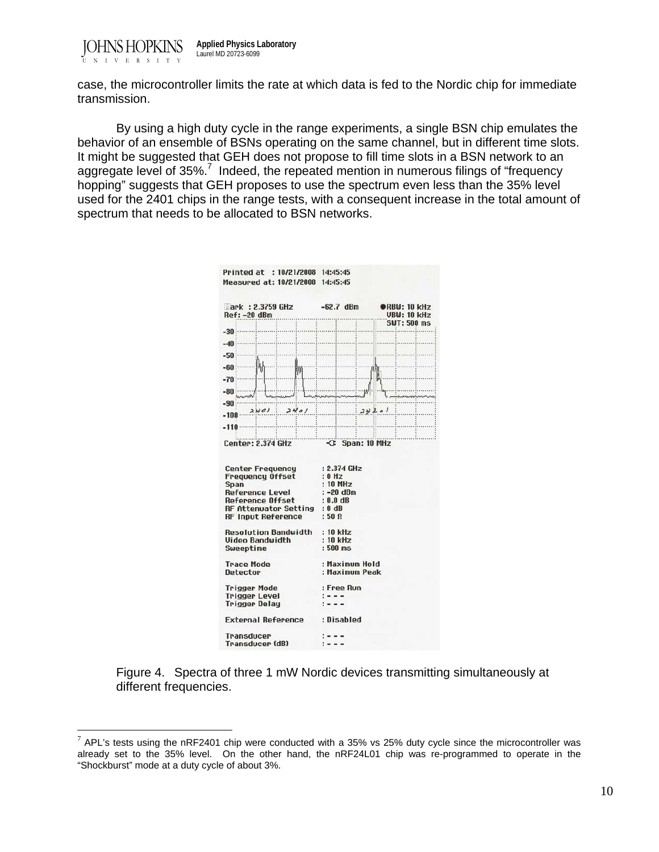

 $\overline{a}$ 

case, the microcontroller limits the rate at which data is fed to the Nordic chip for immediate transmission.

By using a high duty cycle in the range experiments, a single BSN chip emulates the behavior of an ensemble of BSNs operating on the same channel, but in different time slots. It might be suggested that GEH does not propose to fill time slots in a BSN network to an aggregate level of 35%.<sup>7</sup> Indeed, the repeated mention in numerous filings of "frequency hopping" suggests that GEH proposes to use the spectrum even less than the 35% level used for the 2401 chips in the range tests, with a consequent increase in the total amount of spectrum that needs to be allocated to BSN networks.

| Printed at : 10/21/2008 14:45:45<br>Measured at: 10/21/2008 14:45:45                                                                      |                                                                                                   |                                           |
|-------------------------------------------------------------------------------------------------------------------------------------------|---------------------------------------------------------------------------------------------------|-------------------------------------------|
| ark : 2.3759 GHz -62.7 dBm<br>Ref: -20 dBm                                                                                                | .                                                                                                 | <b>ORBU: 10 kHz</b><br><b>UBW: 10 kHz</b> |
|                                                                                                                                           |                                                                                                   | SWT: 500 ms                               |
| $-30:$                                                                                                                                    |                                                                                                   |                                           |
| mbanan dan mada masukuma<br>$-40$                                                                                                         |                                                                                                   |                                           |
| $-50:$                                                                                                                                    |                                                                                                   |                                           |
|                                                                                                                                           |                                                                                                   |                                           |
| $-60.5$<br>狮                                                                                                                              |                                                                                                   |                                           |
| $-70$                                                                                                                                     |                                                                                                   |                                           |
| $-80.3$                                                                                                                                   |                                                                                                   |                                           |
|                                                                                                                                           |                                                                                                   |                                           |
| $-90.5$<br>24.01<br>2401                                                                                                                  | 3920                                                                                              |                                           |
| $-100$                                                                                                                                    |                                                                                                   |                                           |
| $-110$                                                                                                                                    | !                                                                                                 |                                           |
| .<br>Center: 2.374 GHz                                                                                                                    | -C: Span: 10 MHz                                                                                  |                                           |
| Center Frequency<br>Frequency Offset<br>Span<br>Reference Level<br>Reference Offset<br>RF Attenuator Setting : 0 dB<br>RF Input Reference | : 2.374 GHz<br>: 0 H <sub>z</sub><br>$: 10$ MHz<br>$: -20$ dBm<br>$: 0.0$ dB<br>: 50 <sub>0</sub> |                                           |
| Resolution Bandwidth                                                                                                                      | $: 10$ kHz                                                                                        |                                           |
| Video Bandwidth                                                                                                                           | : 10 kHz                                                                                          |                                           |
| Sweeptime                                                                                                                                 | $:500$ ms                                                                                         |                                           |
| <b>Trace Mode</b><br>Detector                                                                                                             | : Maximum Hold<br>: Maximum Peak                                                                  |                                           |
| <b>Trigger Mode</b>                                                                                                                       | : Free Run                                                                                        |                                           |
| <b>Trigger Level</b>                                                                                                                      |                                                                                                   |                                           |
| <b>Trigger Delay</b>                                                                                                                      |                                                                                                   |                                           |
| External Reference                                                                                                                        | : Disabled                                                                                        |                                           |
| Transducer                                                                                                                                |                                                                                                   |                                           |
| Transducer (dB)                                                                                                                           |                                                                                                   |                                           |
|                                                                                                                                           |                                                                                                   |                                           |

Figure 4. Spectra of three 1 mW Nordic devices transmitting simultaneously at different frequencies.

 $7$  APL's tests using the nRF2401 chip were conducted with a 35% vs 25% duty cycle since the microcontroller was already set to the 35% level. On the other hand, the nRF24L01 chip was re-programmed to operate in the "Shockburst" mode at a duty cycle of about 3%.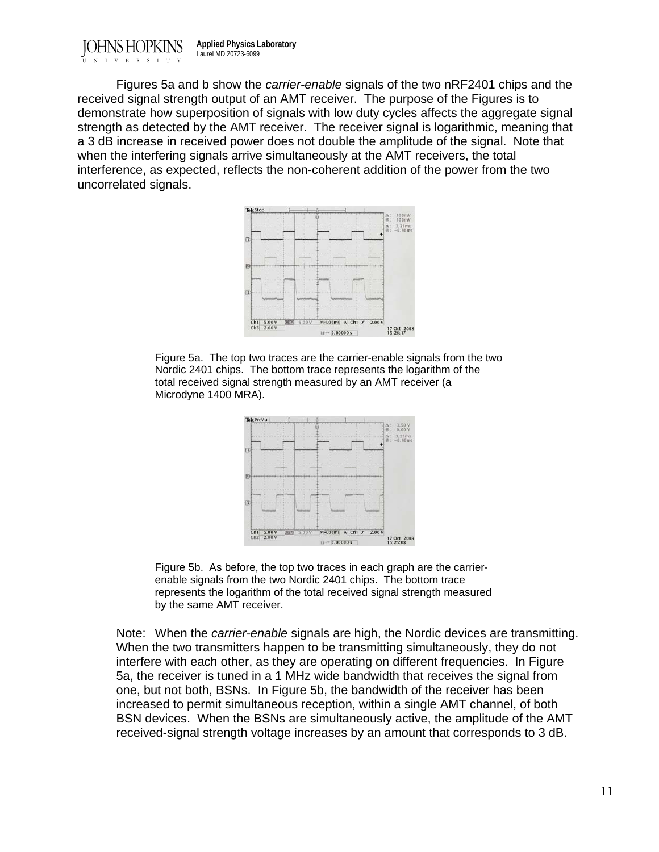JOHNS HOPKINS ERS TTV **Applied Physics Laboratory** Laurel MD 20723-6099

 Figures 5a and b show the *carrier-enable* signals of the two nRF2401 chips and the received signal strength output of an AMT receiver. The purpose of the Figures is to demonstrate how superposition of signals with low duty cycles affects the aggregate signal strength as detected by the AMT receiver. The receiver signal is logarithmic, meaning that a 3 dB increase in received power does not double the amplitude of the signal. Note that when the interfering signals arrive simultaneously at the AMT receivers, the total interference, as expected, reflects the non-coherent addition of the power from the two uncorrelated signals.



Figure 5a. The top two traces are the carrier-enable signals from the two Nordic 2401 chips. The bottom trace represents the logarithm of the total received signal strength measured by an AMT receiver (a Microdyne 1400 MRA).



Figure 5b. As before, the top two traces in each graph are the carrierenable signals from the two Nordic 2401 chips. The bottom trace represents the logarithm of the total received signal strength measured by the same AMT receiver.

Note: When the *carrier-enable* signals are high, the Nordic devices are transmitting. When the two transmitters happen to be transmitting simultaneously, they do not interfere with each other, as they are operating on different frequencies. In Figure 5a, the receiver is tuned in a 1 MHz wide bandwidth that receives the signal from one, but not both, BSNs. In Figure 5b, the bandwidth of the receiver has been increased to permit simultaneous reception, within a single AMT channel, of both BSN devices. When the BSNs are simultaneously active, the amplitude of the AMT received-signal strength voltage increases by an amount that corresponds to 3 dB.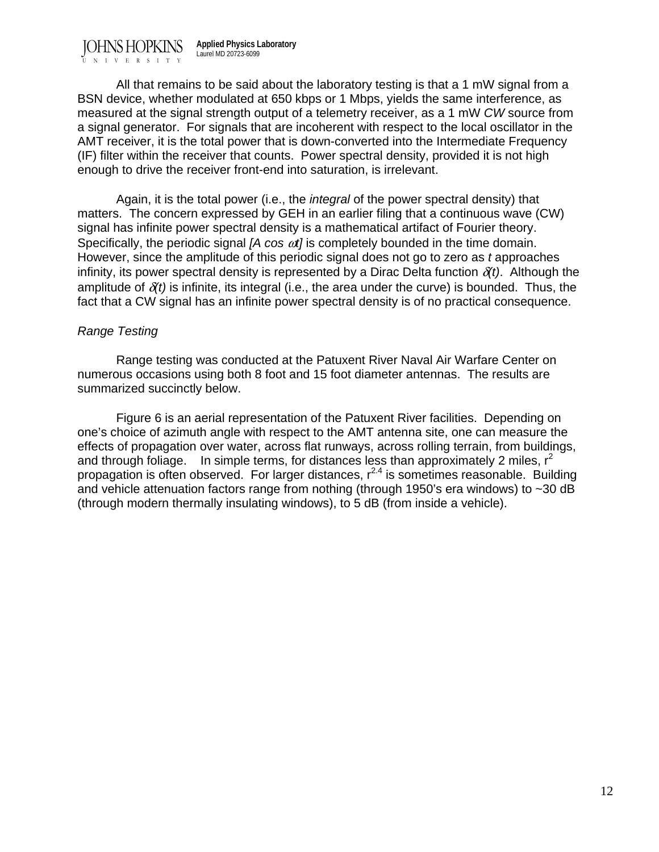JOHNS HOPKINS UNIVERSITY **Applied Physics Laboratory** Laurel MD 20723-6099

 All that remains to be said about the laboratory testing is that a 1 mW signal from a BSN device, whether modulated at 650 kbps or 1 Mbps, yields the same interference, as measured at the signal strength output of a telemetry receiver, as a 1 mW *CW* source from a signal generator. For signals that are incoherent with respect to the local oscillator in the AMT receiver, it is the total power that is down-converted into the Intermediate Frequency (IF) filter within the receiver that counts. Power spectral density, provided it is not high enough to drive the receiver front-end into saturation, is irrelevant.

 Again, it is the total power (i.e., the *integral* of the power spectral density) that matters. The concern expressed by GEH in an earlier filing that a continuous wave (CW) signal has infinite power spectral density is a mathematical artifact of Fourier theory. Specifically, the periodic signal *[A cos*  $\omega t$ *]* is completely bounded in the time domain. However, since the amplitude of this periodic signal does not go to zero as *t* approaches infinity, its power spectral density is represented by a Dirac Delta function  $\delta(t)$ . Although the amplitude of  $\delta(t)$  is infinite, its integral (i.e., the area under the curve) is bounded. Thus, the fact that a CW signal has an infinite power spectral density is of no practical consequence.

# *Range Testing*

 Range testing was conducted at the Patuxent River Naval Air Warfare Center on numerous occasions using both 8 foot and 15 foot diameter antennas. The results are summarized succinctly below.

 Figure 6 is an aerial representation of the Patuxent River facilities. Depending on one's choice of azimuth angle with respect to the AMT antenna site, one can measure the effects of propagation over water, across flat runways, across rolling terrain, from buildings, and through foliage. In simple terms, for distances less than approximately 2 miles,  $r^2$ propagation is often observed. For larger distances,  $r^{2.4}$  is sometimes reasonable. Building and vehicle attenuation factors range from nothing (through 1950's era windows) to ~30 dB (through modern thermally insulating windows), to 5 dB (from inside a vehicle).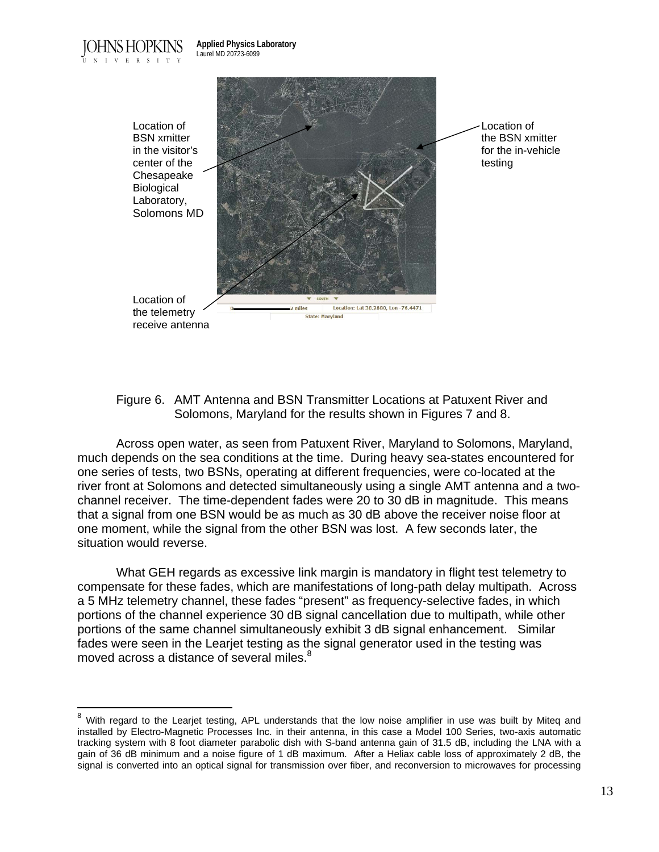DHNS HOPKINS UNIVERSITY

 $\overline{a}$ 



Figure 6. AMT Antenna and BSN Transmitter Locations at Patuxent River and Solomons, Maryland for the results shown in Figures 7 and 8.

 Across open water, as seen from Patuxent River, Maryland to Solomons, Maryland, much depends on the sea conditions at the time. During heavy sea-states encountered for one series of tests, two BSNs, operating at different frequencies, were co-located at the river front at Solomons and detected simultaneously using a single AMT antenna and a twochannel receiver. The time-dependent fades were 20 to 30 dB in magnitude. This means that a signal from one BSN would be as much as 30 dB above the receiver noise floor at one moment, while the signal from the other BSN was lost. A few seconds later, the situation would reverse.

 What GEH regards as excessive link margin is mandatory in flight test telemetry to compensate for these fades, which are manifestations of long-path delay multipath. Across a 5 MHz telemetry channel, these fades "present" as frequency-selective fades, in which portions of the channel experience 30 dB signal cancellation due to multipath, while other portions of the same channel simultaneously exhibit 3 dB signal enhancement. Similar fades were seen in the Learjet testing as the signal generator used in the testing was moved across a distance of several miles.<sup>8</sup>

With regard to the Learjet testing, APL understands that the low noise amplifier in use was built by Miteq and installed by Electro-Magnetic Processes Inc. in their antenna, in this case a Model 100 Series, two-axis automatic tracking system with 8 foot diameter parabolic dish with S-band antenna gain of 31.5 dB, including the LNA with a gain of 36 dB minimum and a noise figure of 1 dB maximum. After a Heliax cable loss of approximately 2 dB, the signal is converted into an optical signal for transmission over fiber, and reconversion to microwaves for processing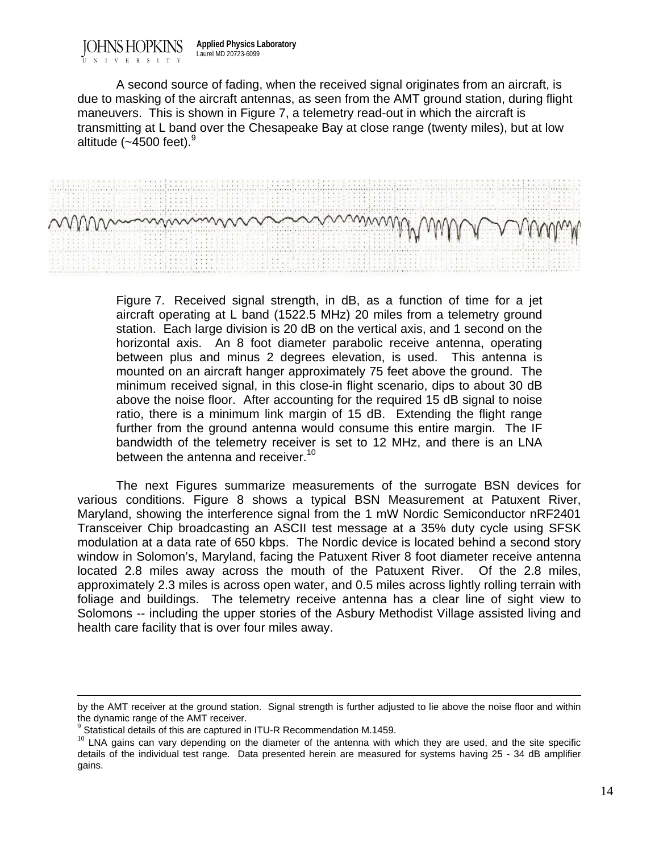JOHNS HOPKINS **Applied Physics Laboratory** Laurel MD 20723-6099

UNIVERSITY

 A second source of fading, when the received signal originates from an aircraft, is due to masking of the aircraft antennas, as seen from the AMT ground station, during flight maneuvers. This is shown in Figure 7, a telemetry read-out in which the aircraft is transmitting at L band over the Chesapeake Bay at close range (twenty miles), but at low altitude  $(-4500 \text{ feet})$ .<sup>9</sup>



Figure 7. Received signal strength, in dB, as a function of time for a jet aircraft operating at L band (1522.5 MHz) 20 miles from a telemetry ground station. Each large division is 20 dB on the vertical axis, and 1 second on the horizontal axis. An 8 foot diameter parabolic receive antenna, operating between plus and minus 2 degrees elevation, is used. This antenna is mounted on an aircraft hanger approximately 75 feet above the ground. The minimum received signal, in this close-in flight scenario, dips to about 30 dB above the noise floor. After accounting for the required 15 dB signal to noise ratio, there is a minimum link margin of 15 dB. Extending the flight range further from the ground antenna would consume this entire margin. The IF bandwidth of the telemetry receiver is set to 12 MHz, and there is an LNA between the antenna and receiver.<sup>10</sup>

 The next Figures summarize measurements of the surrogate BSN devices for various conditions. Figure 8 shows a typical BSN Measurement at Patuxent River, Maryland, showing the interference signal from the 1 mW Nordic Semiconductor nRF2401 Transceiver Chip broadcasting an ASCII test message at a 35% duty cycle using SFSK modulation at a data rate of 650 kbps. The Nordic device is located behind a second story window in Solomon's, Maryland, facing the Patuxent River 8 foot diameter receive antenna located 2.8 miles away across the mouth of the Patuxent River. Of the 2.8 miles, approximately 2.3 miles is across open water, and 0.5 miles across lightly rolling terrain with foliage and buildings. The telemetry receive antenna has a clear line of sight view to Solomons -- including the upper stories of the Asbury Methodist Village assisted living and health care facility that is over four miles away.

by the AMT receiver at the ground station. Signal strength is further adjusted to lie above the noise floor and within the dynamic range of the AMT receiver.

 $9$  Statistical details of this are captured in ITU-R Recommendation M.1459.

 $10$  LNA gains can vary depending on the diameter of the antenna with which they are used, and the site specific details of the individual test range. Data presented herein are measured for systems having 25 - 34 dB amplifier gains.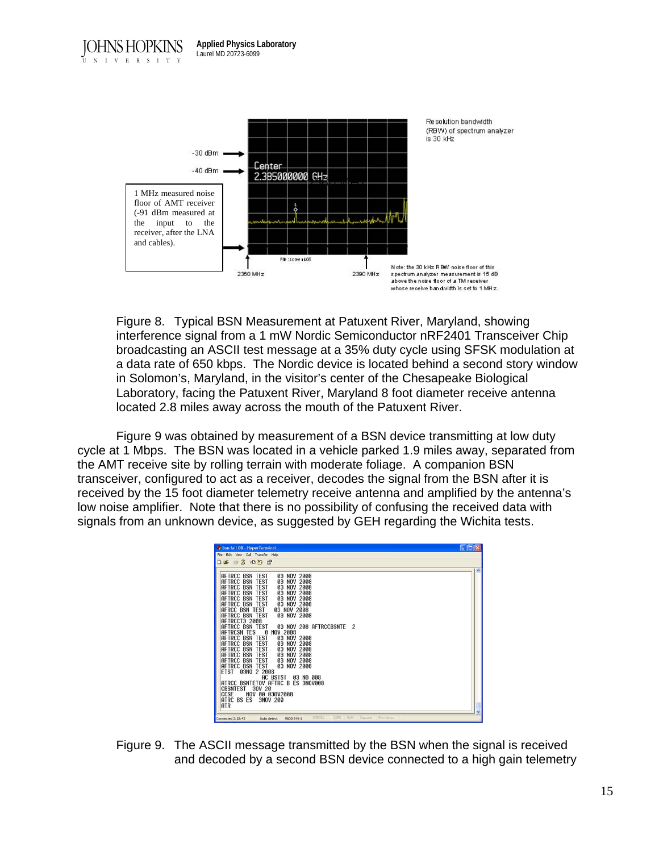

Figure 8. Typical BSN Measurement at Patuxent River, Maryland, showing interference signal from a 1 mW Nordic Semiconductor nRF2401 Transceiver Chip broadcasting an ASCII test message at a 35% duty cycle using SFSK modulation at a data rate of 650 kbps. The Nordic device is located behind a second story window in Solomon's, Maryland, in the visitor's center of the Chesapeake Biological Laboratory, facing the Patuxent River, Maryland 8 foot diameter receive antenna located 2.8 miles away across the mouth of the Patuxent River.

Figure 9 was obtained by measurement of a BSN device transmitting at low duty cycle at 1 Mbps. The BSN was located in a vehicle parked 1.9 miles away, separated from the AMT receive site by rolling terrain with moderate foliage. A companion BSN transceiver, configured to act as a receiver, decodes the signal from the BSN after it is received by the 15 foot diameter telemetry receive antenna and amplified by the antenna's low noise amplifier. Note that there is no possibility of confusing the received data with signals from an unknown device, as suggested by GEH regarding the Wichita tests.

Figure 9. The ASCII message transmitted by the BSN when the signal is received and decoded by a second BSN device connected to a high gain telemetry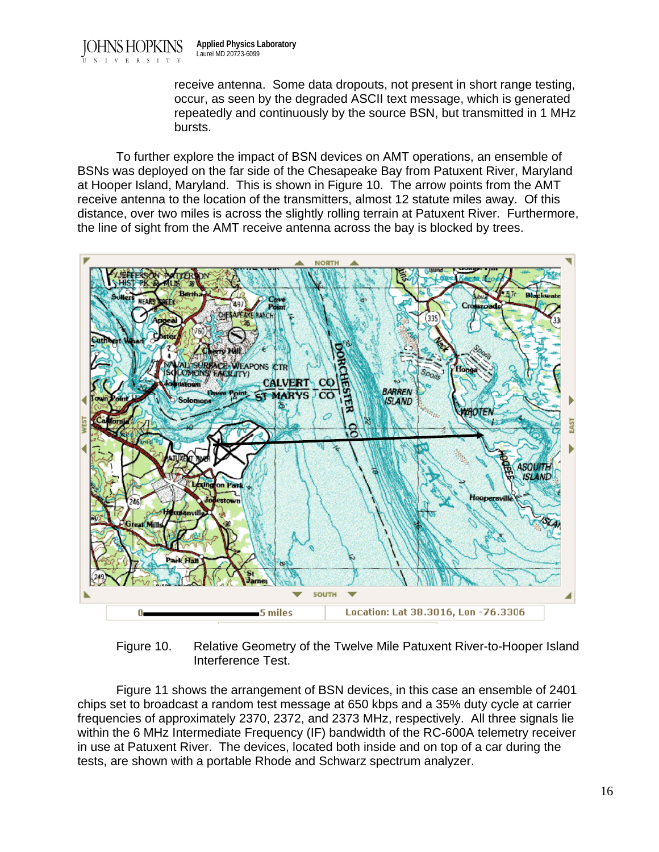receive antenna. Some data dropouts, not present in short range testing, occur, as seen by the degraded ASCII text message, which is generated repeatedly and continuously by the source BSN, but transmitted in 1 MHz bursts.

 To further explore the impact of BSN devices on AMT operations, an ensemble of BSNs was deployed on the far side of the Chesapeake Bay from Patuxent River, Maryland at Hooper Island, Maryland. This is shown in Figure 10. The arrow points from the AMT receive antenna to the location of the transmitters, almost 12 statute miles away. Of this distance, over two miles is across the slightly rolling terrain at Patuxent River. Furthermore, the line of sight from the AMT receive antenna across the bay is blocked by trees.



Figure 10. Relative Geometry of the Twelve Mile Patuxent River-to-Hooper Island Interference Test.

 Figure 11 shows the arrangement of BSN devices, in this case an ensemble of 2401 chips set to broadcast a random test message at 650 kbps and a 35% duty cycle at carrier frequencies of approximately 2370, 2372, and 2373 MHz, respectively. All three signals lie within the 6 MHz Intermediate Frequency (IF) bandwidth of the RC-600A telemetry receiver in use at Patuxent River. The devices, located both inside and on top of a car during the tests, are shown with a portable Rhode and Schwarz spectrum analyzer.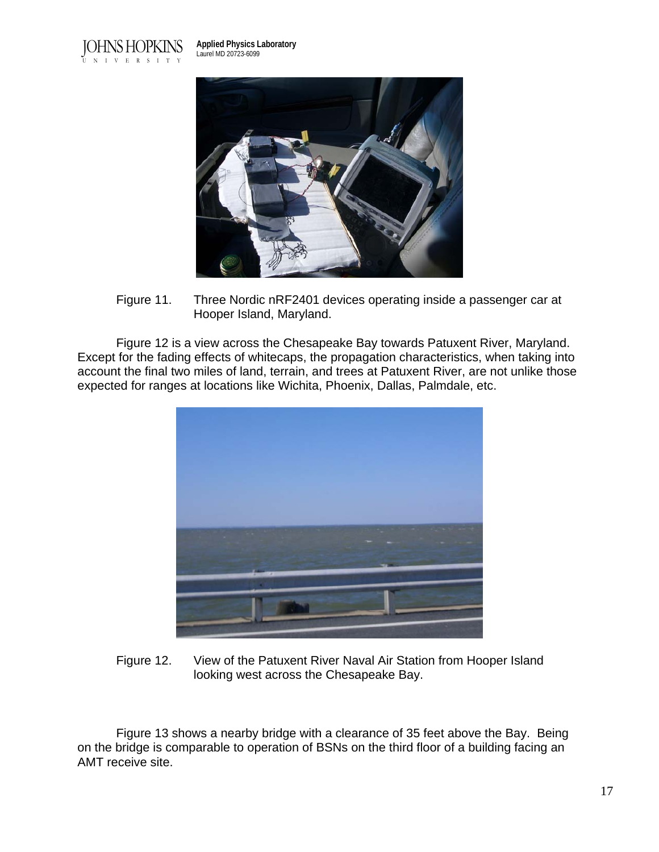

**Applied Physics Laboratory** Laurel MD 20723-6099



Figure 11. Three Nordic nRF2401 devices operating inside a passenger car at Hooper Island, Maryland.

 Figure 12 is a view across the Chesapeake Bay towards Patuxent River, Maryland. Except for the fading effects of whitecaps, the propagation characteristics, when taking into account the final two miles of land, terrain, and trees at Patuxent River, are not unlike those expected for ranges at locations like Wichita, Phoenix, Dallas, Palmdale, etc.



Figure 12. View of the Patuxent River Naval Air Station from Hooper Island looking west across the Chesapeake Bay.

 Figure 13 shows a nearby bridge with a clearance of 35 feet above the Bay. Being on the bridge is comparable to operation of BSNs on the third floor of a building facing an AMT receive site.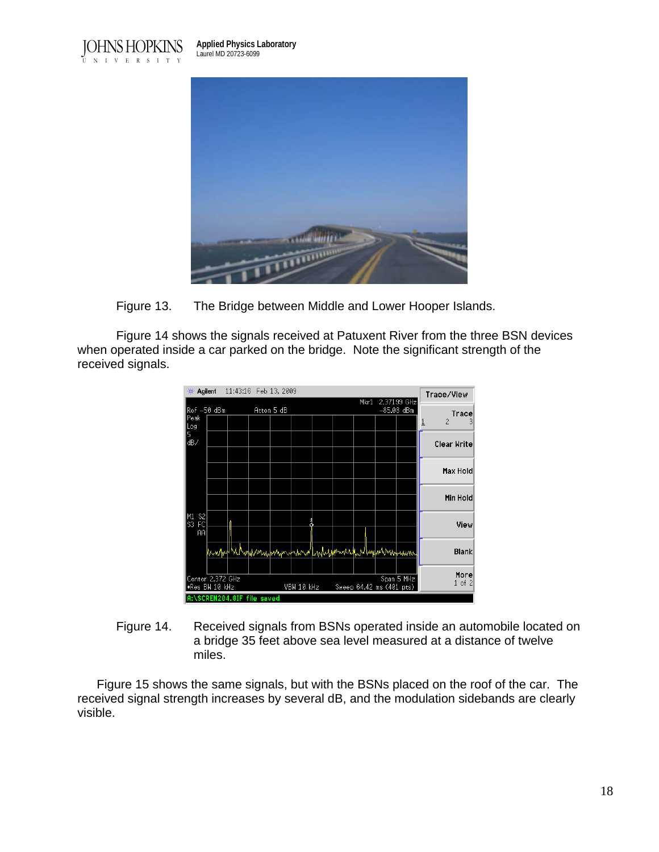**Applied Physics Laboratory** Laurel MD 20723-6099





Figure 13. The Bridge between Middle and Lower Hooper Islands.

 Figure 14 shows the signals received at Patuxent River from the three BSN devices when operated inside a car parked on the bridge. Note the significant strength of the received signals.



Figure 14. Received signals from BSNs operated inside an automobile located on a bridge 35 feet above sea level measured at a distance of twelve miles.

 Figure 15 shows the same signals, but with the BSNs placed on the roof of the car. The received signal strength increases by several dB, and the modulation sidebands are clearly visible.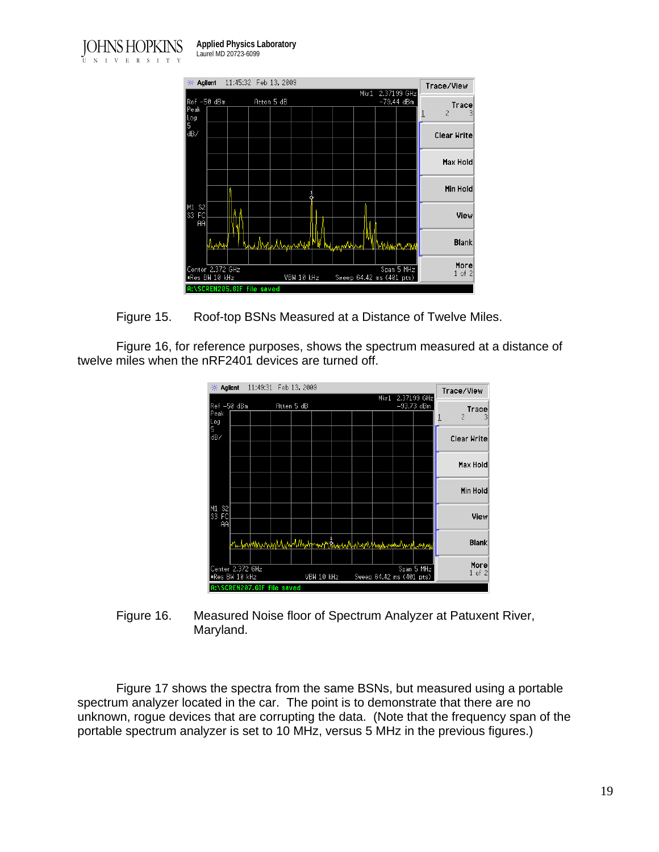



Figure 15. Roof-top BSNs Measured at a Distance of Twelve Miles.

Figure 16, for reference purposes, shows the spectrum measured at a distance of twelve miles when the nRF2401 devices are turned off.



Figure 16. Measured Noise floor of Spectrum Analyzer at Patuxent River, Maryland.

 Figure 17 shows the spectra from the same BSNs, but measured using a portable spectrum analyzer located in the car. The point is to demonstrate that there are no unknown, rogue devices that are corrupting the data. (Note that the frequency span of the portable spectrum analyzer is set to 10 MHz, versus 5 MHz in the previous figures.)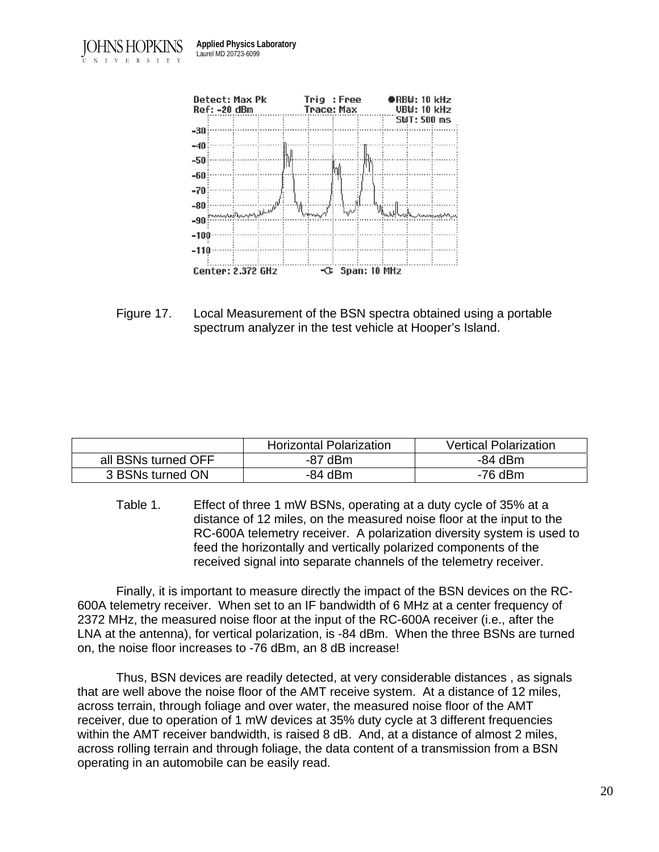



Figure 17. Local Measurement of the BSN spectra obtained using a portable spectrum analyzer in the test vehicle at Hooper's Island.

|                     | <b>Horizontal Polarization</b> | <b>Vertical Polarization</b> |
|---------------------|--------------------------------|------------------------------|
| all BSNs turned OFF | -87 dBm                        | -84 dBm                      |
| 3 BSNs turned ON    | -84 dBm                        | -76 dBm                      |

Table 1. Effect of three 1 mW BSNs, operating at a duty cycle of 35% at a distance of 12 miles, on the measured noise floor at the input to the RC-600A telemetry receiver. A polarization diversity system is used to feed the horizontally and vertically polarized components of the received signal into separate channels of the telemetry receiver.

Finally, it is important to measure directly the impact of the BSN devices on the RC-600A telemetry receiver. When set to an IF bandwidth of 6 MHz at a center frequency of 2372 MHz, the measured noise floor at the input of the RC-600A receiver (i.e., after the LNA at the antenna), for vertical polarization, is -84 dBm. When the three BSNs are turned on, the noise floor increases to -76 dBm, an 8 dB increase!

 Thus, BSN devices are readily detected, at very considerable distances , as signals that are well above the noise floor of the AMT receive system. At a distance of 12 miles, across terrain, through foliage and over water, the measured noise floor of the AMT receiver, due to operation of 1 mW devices at 35% duty cycle at 3 different frequencies within the AMT receiver bandwidth, is raised 8 dB. And, at a distance of almost 2 miles, across rolling terrain and through foliage, the data content of a transmission from a BSN operating in an automobile can be easily read.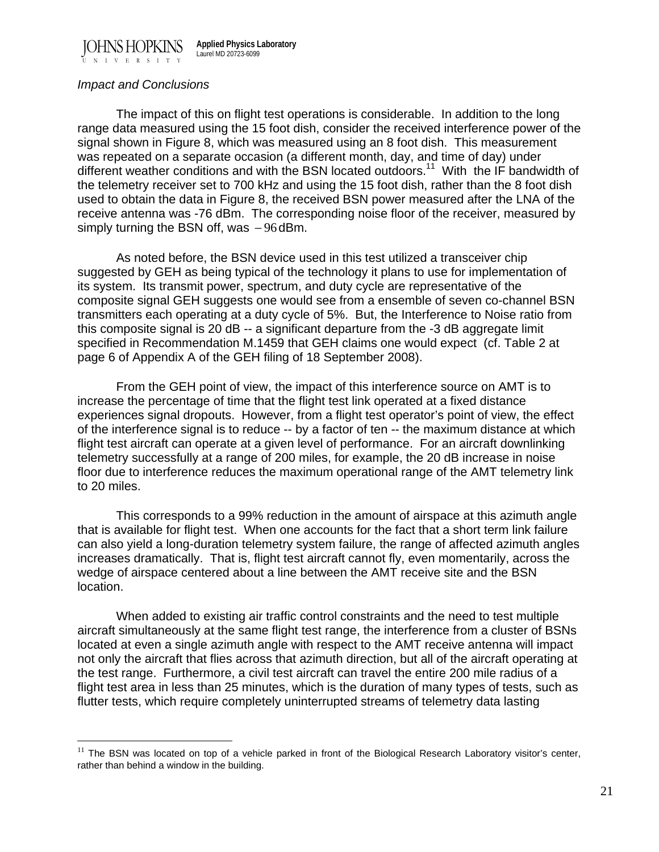JOHNS HOPKINS UNIVERSITY **Applied Physics Laboratory** Laurel MD 20723-6099

#### *Impact and Conclusions*

 $\overline{a}$ 

The impact of this on flight test operations is considerable. In addition to the long range data measured using the 15 foot dish, consider the received interference power of the signal shown in Figure 8, which was measured using an 8 foot dish. This measurement was repeated on a separate occasion (a different month, day, and time of day) under different weather conditions and with the BSN located outdoors.<sup>11</sup> With the IF bandwidth of the telemetry receiver set to 700 kHz and using the 15 foot dish, rather than the 8 foot dish used to obtain the data in Figure 8, the received BSN power measured after the LNA of the receive antenna was -76 dBm. The corresponding noise floor of the receiver, measured by simply turning the BSN off, was −96dBm.

As noted before, the BSN device used in this test utilized a transceiver chip suggested by GEH as being typical of the technology it plans to use for implementation of its system. Its transmit power, spectrum, and duty cycle are representative of the composite signal GEH suggests one would see from a ensemble of seven co-channel BSN transmitters each operating at a duty cycle of 5%. But, the Interference to Noise ratio from this composite signal is 20 dB -- a significant departure from the -3 dB aggregate limit specified in Recommendation M.1459 that GEH claims one would expect (cf. Table 2 at page 6 of Appendix A of the GEH filing of 18 September 2008).

From the GEH point of view, the impact of this interference source on AMT is to increase the percentage of time that the flight test link operated at a fixed distance experiences signal dropouts. However, from a flight test operator's point of view, the effect of the interference signal is to reduce -- by a factor of ten -- the maximum distance at which flight test aircraft can operate at a given level of performance. For an aircraft downlinking telemetry successfully at a range of 200 miles, for example, the 20 dB increase in noise floor due to interference reduces the maximum operational range of the AMT telemetry link to 20 miles.

This corresponds to a 99% reduction in the amount of airspace at this azimuth angle that is available for flight test. When one accounts for the fact that a short term link failure can also yield a long-duration telemetry system failure, the range of affected azimuth angles increases dramatically. That is, flight test aircraft cannot fly, even momentarily, across the wedge of airspace centered about a line between the AMT receive site and the BSN location.

When added to existing air traffic control constraints and the need to test multiple aircraft simultaneously at the same flight test range, the interference from a cluster of BSNs located at even a single azimuth angle with respect to the AMT receive antenna will impact not only the aircraft that flies across that azimuth direction, but all of the aircraft operating at the test range. Furthermore, a civil test aircraft can travel the entire 200 mile radius of a flight test area in less than 25 minutes, which is the duration of many types of tests, such as flutter tests, which require completely uninterrupted streams of telemetry data lasting

 $11$  The BSN was located on top of a vehicle parked in front of the Biological Research Laboratory visitor's center, rather than behind a window in the building.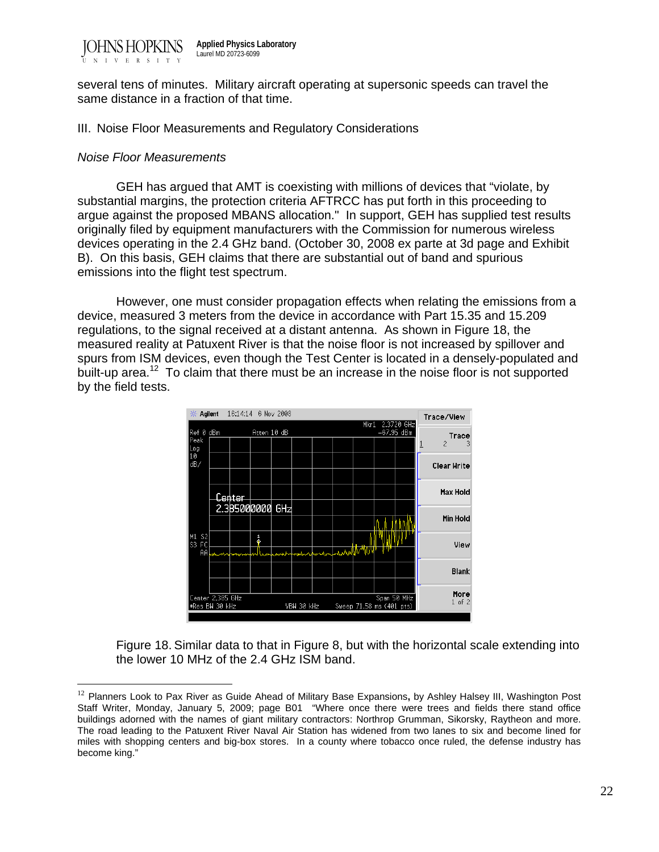

several tens of minutes. Military aircraft operating at supersonic speeds can travel the same distance in a fraction of that time.

#### III. Noise Floor Measurements and Regulatory Considerations

#### *Noise Floor Measurements*

 $\overline{a}$ 

 GEH has argued that AMT is coexisting with millions of devices that "violate, by substantial margins, the protection criteria AFTRCC has put forth in this proceeding to argue against the proposed MBANS allocation." In support, GEH has supplied test results originally filed by equipment manufacturers with the Commission for numerous wireless devices operating in the 2.4 GHz band. (October 30, 2008 ex parte at 3d page and Exhibit B). On this basis, GEH claims that there are substantial out of band and spurious emissions into the flight test spectrum.

 However, one must consider propagation effects when relating the emissions from a device, measured 3 meters from the device in accordance with Part 15.35 and 15.209 regulations, to the signal received at a distant antenna. As shown in Figure 18, the measured reality at Patuxent River is that the noise floor is not increased by spillover and spurs from ISM devices, even though the Test Center is located in a densely-populated and built-up area.<sup>12</sup> To claim that there must be an increase in the noise floor is not supported by the field tests.



Figure 18. Similar data to that in Figure 8, but with the horizontal scale extending into the lower 10 MHz of the 2.4 GHz ISM band.

<sup>12</sup> Planners Look to Pax River as Guide Ahead of Military Base Expansions**,** by Ashley Halsey III, Washington Post Staff Writer, Monday, January 5, 2009; page B01 "Where once there were trees and fields there stand office buildings adorned with the names of giant military contractors: Northrop Grumman, Sikorsky, Raytheon and more. The road leading to the Patuxent River Naval Air Station has widened from two lanes to six and become lined for miles with shopping centers and big-box stores. In a county where tobacco once ruled, the defense industry has become king."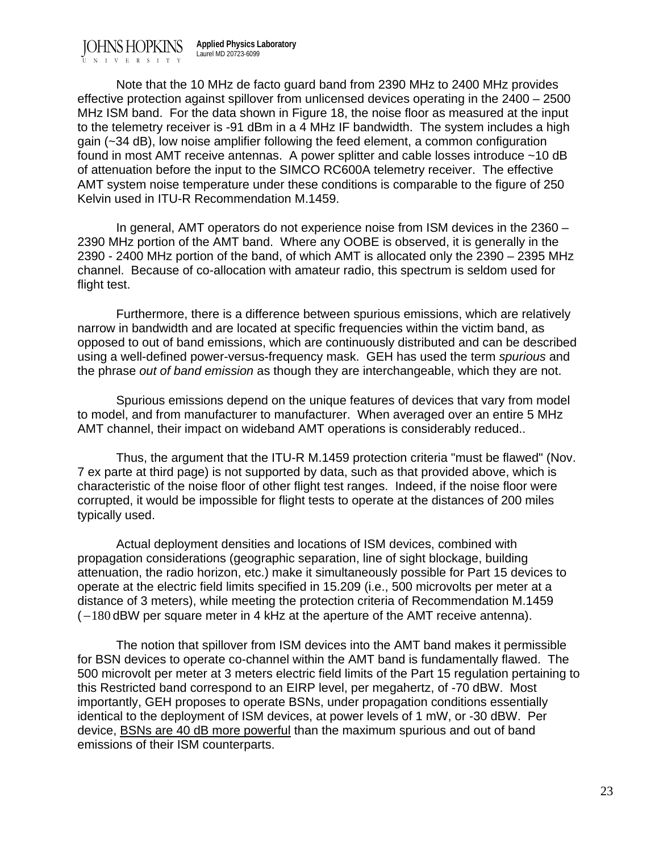Note that the 10 MHz de facto guard band from 2390 MHz to 2400 MHz provides effective protection against spillover from unlicensed devices operating in the 2400 – 2500 MHz ISM band. For the data shown in Figure 18, the noise floor as measured at the input to the telemetry receiver is -91 dBm in a 4 MHz IF bandwidth. The system includes a high gain (~34 dB), low noise amplifier following the feed element, a common configuration found in most AMT receive antennas. A power splitter and cable losses introduce ~10 dB of attenuation before the input to the SIMCO RC600A telemetry receiver. The effective AMT system noise temperature under these conditions is comparable to the figure of 250 Kelvin used in ITU-R Recommendation M.1459.

 In general, AMT operators do not experience noise from ISM devices in the 2360 – 2390 MHz portion of the AMT band. Where any OOBE is observed, it is generally in the 2390 - 2400 MHz portion of the band, of which AMT is allocated only the 2390 – 2395 MHz channel. Because of co-allocation with amateur radio, this spectrum is seldom used for flight test.

 Furthermore, there is a difference between spurious emissions, which are relatively narrow in bandwidth and are located at specific frequencies within the victim band, as opposed to out of band emissions, which are continuously distributed and can be described using a well-defined power-versus-frequency mask. GEH has used the term *spurious* and the phrase *out of band emission* as though they are interchangeable, which they are not.

 Spurious emissions depend on the unique features of devices that vary from model to model, and from manufacturer to manufacturer. When averaged over an entire 5 MHz AMT channel, their impact on wideband AMT operations is considerably reduced..

 Thus, the argument that the ITU-R M.1459 protection criteria "must be flawed" (Nov. 7 ex parte at third page) is not supported by data, such as that provided above, which is characteristic of the noise floor of other flight test ranges. Indeed, if the noise floor were corrupted, it would be impossible for flight tests to operate at the distances of 200 miles typically used.

 Actual deployment densities and locations of ISM devices, combined with propagation considerations (geographic separation, line of sight blockage, building attenuation, the radio horizon, etc.) make it simultaneously possible for Part 15 devices to operate at the electric field limits specified in 15.209 (i.e., 500 microvolts per meter at a distance of 3 meters), while meeting the protection criteria of Recommendation M.1459 ( −180 dBW per square meter in 4 kHz at the aperture of the AMT receive antenna).

 The notion that spillover from ISM devices into the AMT band makes it permissible for BSN devices to operate co-channel within the AMT band is fundamentally flawed. The 500 microvolt per meter at 3 meters electric field limits of the Part 15 regulation pertaining to this Restricted band correspond to an EIRP level, per megahertz, of -70 dBW. Most importantly, GEH proposes to operate BSNs, under propagation conditions essentially identical to the deployment of ISM devices, at power levels of 1 mW, or -30 dBW. Per device, BSNs are 40 dB more powerful than the maximum spurious and out of band emissions of their ISM counterparts.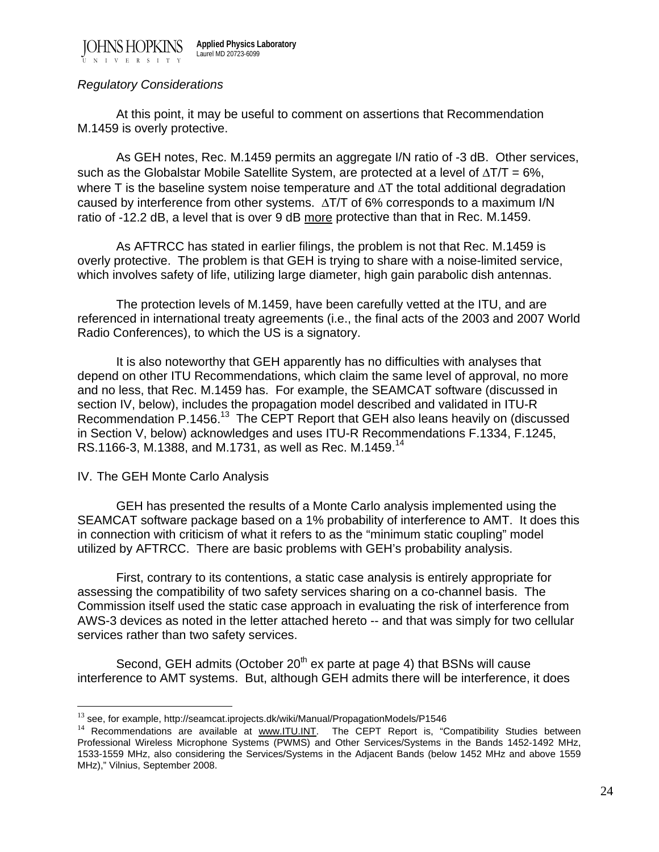# *Regulatory Considerations*

 At this point, it may be useful to comment on assertions that Recommendation M.1459 is overly protective.

 As GEH notes, Rec. M.1459 permits an aggregate I/N ratio of -3 dB. Other services, such as the Globalstar Mobile Satellite System, are protected at a level of  $\Delta T/T = 6\%$ , where T is the baseline system noise temperature and  $\Delta T$  the total additional degradation caused by interference from other systems. ΔT/T of 6% corresponds to a maximum I/N ratio of -12.2 dB, a level that is over 9 dB more protective than that in Rec. M.1459.

 As AFTRCC has stated in earlier filings, the problem is not that Rec. M.1459 is overly protective. The problem is that GEH is trying to share with a noise-limited service, which involves safety of life, utilizing large diameter, high gain parabolic dish antennas.

 The protection levels of M.1459, have been carefully vetted at the ITU, and are referenced in international treaty agreements (i.e., the final acts of the 2003 and 2007 World Radio Conferences), to which the US is a signatory.

 It is also noteworthy that GEH apparently has no difficulties with analyses that depend on other ITU Recommendations, which claim the same level of approval, no more and no less, that Rec. M.1459 has. For example, the SEAMCAT software (discussed in section IV, below), includes the propagation model described and validated in ITU-R Recommendation P.1456.<sup>13</sup> The CEPT Report that GEH also leans heavily on (discussed in Section V, below) acknowledges and uses ITU-R Recommendations F.1334, F.1245, RS.1166-3, M.1388, and M.1731, as well as Rec. M.1459.<sup>14</sup>

# IV. The GEH Monte Carlo Analysis

 $\overline{a}$ 

 GEH has presented the results of a Monte Carlo analysis implemented using the SEAMCAT software package based on a 1% probability of interference to AMT. It does this in connection with criticism of what it refers to as the "minimum static coupling" model utilized by AFTRCC. There are basic problems with GEH's probability analysis.

 First, contrary to its contentions, a static case analysis is entirely appropriate for assessing the compatibility of two safety services sharing on a co-channel basis. The Commission itself used the static case approach in evaluating the risk of interference from AWS-3 devices as noted in the letter attached hereto -- and that was simply for two cellular services rather than two safety services.

Second, GEH admits (October 20<sup>th</sup> ex parte at page 4) that BSNs will cause interference to AMT systems. But, although GEH admits there will be interference, it does

<sup>&</sup>lt;sup>13</sup> see, for example, http://seamcat.iprojects.dk/wiki/Manual/PropagationModels/P1546

<sup>&</sup>lt;sup>14</sup> Recommendations are available at www.ITU.INT. The CEPT Report is, "Compatibility Studies between Professional Wireless Microphone Systems (PWMS) and Other Services/Systems in the Bands 1452-1492 MHz, 1533-1559 MHz, also considering the Services/Systems in the Adjacent Bands (below 1452 MHz and above 1559 MHz)," Vilnius, September 2008.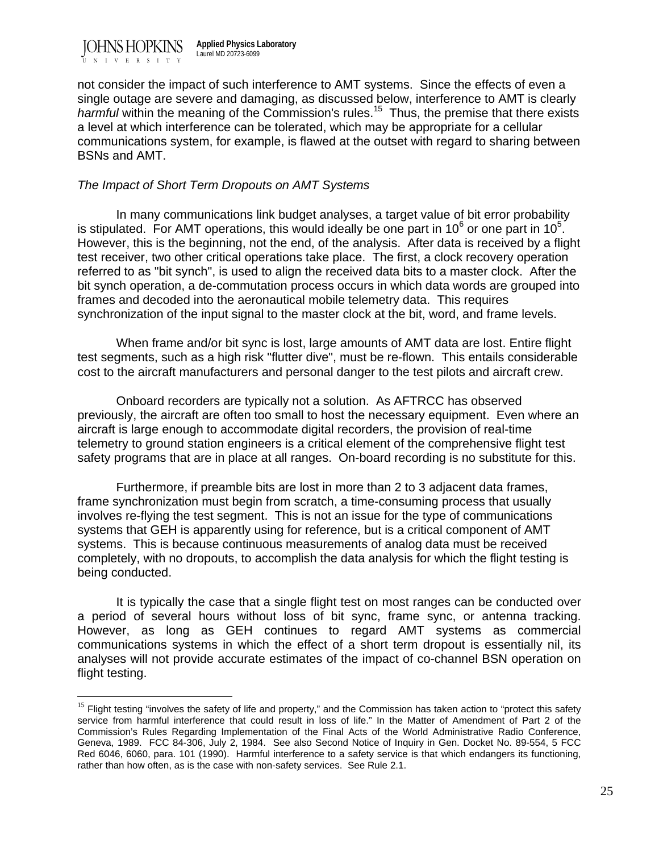

 $\overline{a}$ 

not consider the impact of such interference to AMT systems. Since the effects of even a single outage are severe and damaging, as discussed below, interference to AMT is clearly *harmful* within the meaning of the Commission's rules.<sup>15</sup> Thus, the premise that there exists a level at which interference can be tolerated, which may be appropriate for a cellular communications system, for example, is flawed at the outset with regard to sharing between BSNs and AMT.

# *The Impact of Short Term Dropouts on AMT Systems*

 In many communications link budget analyses, a target value of bit error probability is stipulated. For AMT operations, this would ideally be one part in 10 $^6$  or one part in 10 $^5$ . However, this is the beginning, not the end, of the analysis. After data is received by a flight test receiver, two other critical operations take place. The first, a clock recovery operation referred to as "bit synch", is used to align the received data bits to a master clock. After the bit synch operation, a de-commutation process occurs in which data words are grouped into frames and decoded into the aeronautical mobile telemetry data. This requires synchronization of the input signal to the master clock at the bit, word, and frame levels.

 When frame and/or bit sync is lost, large amounts of AMT data are lost. Entire flight test segments, such as a high risk "flutter dive", must be re-flown. This entails considerable cost to the aircraft manufacturers and personal danger to the test pilots and aircraft crew.

Onboard recorders are typically not a solution. As AFTRCC has observed previously, the aircraft are often too small to host the necessary equipment. Even where an aircraft is large enough to accommodate digital recorders, the provision of real-time telemetry to ground station engineers is a critical element of the comprehensive flight test safety programs that are in place at all ranges. On-board recording is no substitute for this.

 Furthermore, if preamble bits are lost in more than 2 to 3 adjacent data frames, frame synchronization must begin from scratch, a time-consuming process that usually involves re-flying the test segment. This is not an issue for the type of communications systems that GEH is apparently using for reference, but is a critical component of AMT systems. This is because continuous measurements of analog data must be received completely, with no dropouts, to accomplish the data analysis for which the flight testing is being conducted.

It is typically the case that a single flight test on most ranges can be conducted over a period of several hours without loss of bit sync, frame sync, or antenna tracking. However, as long as GEH continues to regard AMT systems as commercial communications systems in which the effect of a short term dropout is essentially nil, its analyses will not provide accurate estimates of the impact of co-channel BSN operation on flight testing.

<sup>&</sup>lt;sup>15</sup> Flight testing "involves the safety of life and property," and the Commission has taken action to "protect this safety service from harmful interference that could result in loss of life." In the Matter of Amendment of Part 2 of the Commission's Rules Regarding Implementation of the Final Acts of the World Administrative Radio Conference, Geneva, 1989. FCC 84-306, July 2, 1984. See also Second Notice of Inquiry in Gen. Docket No. 89-554, 5 FCC Red 6046, 6060, para. 101 (1990). Harmful interference to a safety service is that which endangers its functioning, rather than how often, as is the case with non-safety services. See Rule 2.1.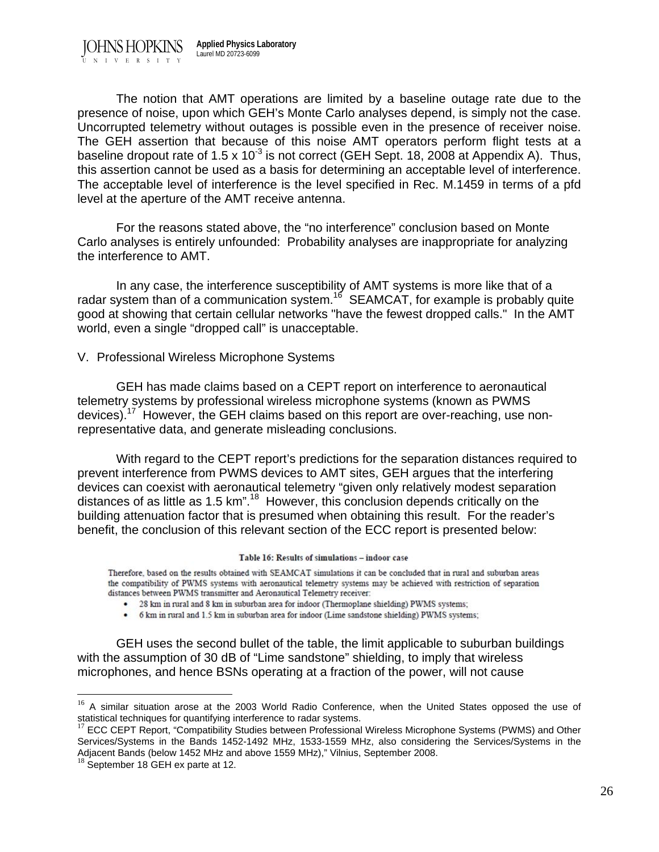The notion that AMT operations are limited by a baseline outage rate due to the presence of noise, upon which GEH's Monte Carlo analyses depend, is simply not the case. Uncorrupted telemetry without outages is possible even in the presence of receiver noise. The GEH assertion that because of this noise AMT operators perform flight tests at a baseline dropout rate of  $1.5 \times 10^{-3}$  is not correct (GEH Sept. 18, 2008 at Appendix A). Thus, this assertion cannot be used as a basis for determining an acceptable level of interference. The acceptable level of interference is the level specified in Rec. M.1459 in terms of a pfd level at the aperture of the AMT receive antenna.

For the reasons stated above, the "no interference" conclusion based on Monte Carlo analyses is entirely unfounded: Probability analyses are inappropriate for analyzing the interference to AMT.

In any case, the interference susceptibility of AMT systems is more like that of a radar system than of a communication system.<sup>16</sup> SEAMCAT, for example is probably quite good at showing that certain cellular networks "have the fewest dropped calls." In the AMT world, even a single "dropped call" is unacceptable.

#### V. Professional Wireless Microphone Systems

 GEH has made claims based on a CEPT report on interference to aeronautical telemetry systems by professional wireless microphone systems (known as PWMS devices).<sup>17</sup> However, the GEH claims based on this report are over-reaching, use nonrepresentative data, and generate misleading conclusions.

 With regard to the CEPT report's predictions for the separation distances required to prevent interference from PWMS devices to AMT sites, GEH argues that the interfering devices can coexist with aeronautical telemetry "given only relatively modest separation distances of as little as 1.5 km<sup>",18</sup> However, this conclusion depends critically on the building attenuation factor that is presumed when obtaining this result. For the reader's benefit, the conclusion of this relevant section of the ECC report is presented below:

#### Table 16: Results of simulations - indoor case

Therefore, based on the results obtained with SEAMCAT simulations it can be concluded that in rural and suburban areas the compatibility of PWMS systems with aeronautical telemetry systems may be achieved with restriction of separation distances between PWMS transmitter and Aeronautical Telemetry receiver:

- 28 km in rural and 8 km in suburban area for indoor (Thermoplane shielding) PWMS systems;
- 6 km in rural and 1.5 km in suburban area for indoor (Lime sandstone shielding) PWMS systems;

 GEH uses the second bullet of the table, the limit applicable to suburban buildings with the assumption of 30 dB of "Lime sandstone" shielding, to imply that wireless microphones, and hence BSNs operating at a fraction of the power, will not cause

<sup>&</sup>lt;sup>16</sup> A similar situation arose at the 2003 World Radio Conference, when the United States opposed the use of statistical techniques for quantifying interference to radar systems.

<sup>&</sup>lt;sup>17</sup> ECC CEPT Report, "Compatibility Studies between Professional Wireless Microphone Systems (PWMS) and Other Services/Systems in the Bands 1452-1492 MHz, 1533-1559 MHz, also considering the Services/Systems in the Adjacent Bands (below 1452 MHz and above 1559 MHz)," Vilnius, September 2008. <sup>18</sup> September 18 GEH ex parte at 12.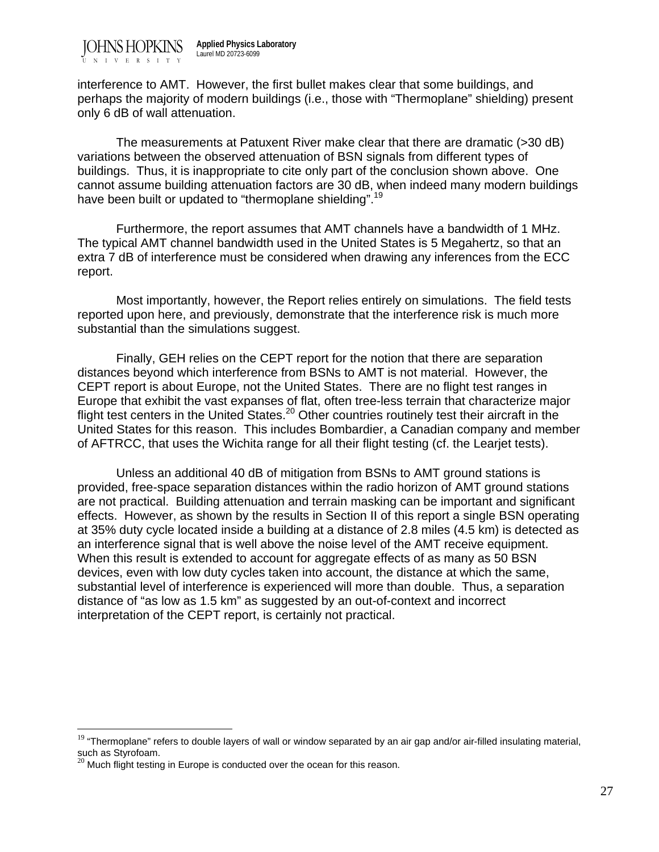interference to AMT. However, the first bullet makes clear that some buildings, and perhaps the majority of modern buildings (i.e., those with "Thermoplane" shielding) present only 6 dB of wall attenuation.

 The measurements at Patuxent River make clear that there are dramatic (>30 dB) variations between the observed attenuation of BSN signals from different types of buildings. Thus, it is inappropriate to cite only part of the conclusion shown above. One cannot assume building attenuation factors are 30 dB, when indeed many modern buildings have been built or updated to "thermoplane shielding".<sup>19</sup>

 Furthermore, the report assumes that AMT channels have a bandwidth of 1 MHz. The typical AMT channel bandwidth used in the United States is 5 Megahertz, so that an extra 7 dB of interference must be considered when drawing any inferences from the ECC report.

 Most importantly, however, the Report relies entirely on simulations. The field tests reported upon here, and previously, demonstrate that the interference risk is much more substantial than the simulations suggest.

 Finally, GEH relies on the CEPT report for the notion that there are separation distances beyond which interference from BSNs to AMT is not material. However, the CEPT report is about Europe, not the United States. There are no flight test ranges in Europe that exhibit the vast expanses of flat, often tree-less terrain that characterize major flight test centers in the United States.<sup>20</sup> Other countries routinely test their aircraft in the United States for this reason. This includes Bombardier, a Canadian company and member of AFTRCC, that uses the Wichita range for all their flight testing (cf. the Learjet tests).

 Unless an additional 40 dB of mitigation from BSNs to AMT ground stations is provided, free-space separation distances within the radio horizon of AMT ground stations are not practical. Building attenuation and terrain masking can be important and significant effects. However, as shown by the results in Section II of this report a single BSN operating at 35% duty cycle located inside a building at a distance of 2.8 miles (4.5 km) is detected as an interference signal that is well above the noise level of the AMT receive equipment. When this result is extended to account for aggregate effects of as many as 50 BSN devices, even with low duty cycles taken into account, the distance at which the same, substantial level of interference is experienced will more than double. Thus, a separation distance of "as low as 1.5 km" as suggested by an out-of-context and incorrect interpretation of the CEPT report, is certainly not practical.

<sup>&</sup>lt;sup>19</sup> "Thermoplane" refers to double layers of wall or window separated by an air gap and/or air-filled insulating material, such as Styrofoam.

 $20$  Much flight testing in Europe is conducted over the ocean for this reason.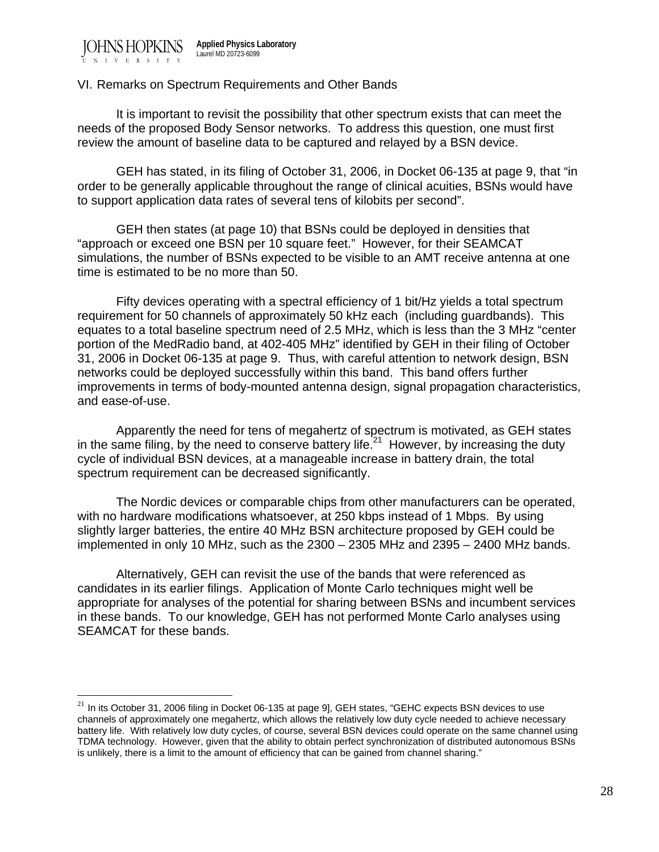$\overline{a}$ 

#### VI. Remarks on Spectrum Requirements and Other Bands

 It is important to revisit the possibility that other spectrum exists that can meet the needs of the proposed Body Sensor networks. To address this question, one must first review the amount of baseline data to be captured and relayed by a BSN device.

 GEH has stated, in its filing of October 31, 2006, in Docket 06-135 at page 9, that "in order to be generally applicable throughout the range of clinical acuities, BSNs would have to support application data rates of several tens of kilobits per second".

 GEH then states (at page 10) that BSNs could be deployed in densities that "approach or exceed one BSN per 10 square feet." However, for their SEAMCAT simulations, the number of BSNs expected to be visible to an AMT receive antenna at one time is estimated to be no more than 50.

 Fifty devices operating with a spectral efficiency of 1 bit/Hz yields a total spectrum requirement for 50 channels of approximately 50 kHz each (including guardbands). This equates to a total baseline spectrum need of 2.5 MHz, which is less than the 3 MHz "center portion of the MedRadio band, at 402-405 MHz" identified by GEH in their filing of October 31, 2006 in Docket 06-135 at page 9. Thus, with careful attention to network design, BSN networks could be deployed successfully within this band. This band offers further improvements in terms of body-mounted antenna design, signal propagation characteristics, and ease-of-use.

 Apparently the need for tens of megahertz of spectrum is motivated, as GEH states in the same filing, by the need to conserve battery life.<sup>21</sup> However, by increasing the duty cycle of individual BSN devices, at a manageable increase in battery drain, the total spectrum requirement can be decreased significantly.

 The Nordic devices or comparable chips from other manufacturers can be operated, with no hardware modifications whatsoever, at 250 kbps instead of 1 Mbps. By using slightly larger batteries, the entire 40 MHz BSN architecture proposed by GEH could be implemented in only 10 MHz, such as the 2300 – 2305 MHz and 2395 – 2400 MHz bands.

 Alternatively, GEH can revisit the use of the bands that were referenced as candidates in its earlier filings. Application of Monte Carlo techniques might well be appropriate for analyses of the potential for sharing between BSNs and incumbent services in these bands. To our knowledge, GEH has not performed Monte Carlo analyses using SEAMCAT for these bands.

 $21$  In its October 31, 2006 filing in Docket 06-135 at page 9], GEH states, "GEHC expects BSN devices to use channels of approximately one megahertz, which allows the relatively low duty cycle needed to achieve necessary battery life. With relatively low duty cycles, of course, several BSN devices could operate on the same channel using TDMA technology. However, given that the ability to obtain perfect synchronization of distributed autonomous BSNs is unlikely, there is a limit to the amount of efficiency that can be gained from channel sharing."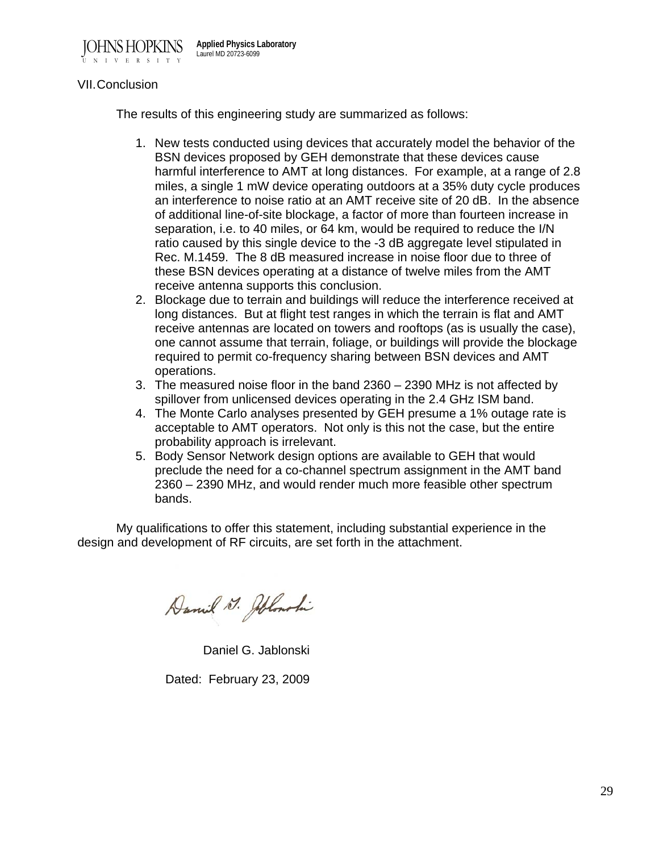

# VII. Conclusion

The results of this engineering study are summarized as follows:

- 1. New tests conducted using devices that accurately model the behavior of the BSN devices proposed by GEH demonstrate that these devices cause harmful interference to AMT at long distances. For example, at a range of 2.8 miles, a single 1 mW device operating outdoors at a 35% duty cycle produces an interference to noise ratio at an AMT receive site of 20 dB. In the absence of additional line-of-site blockage, a factor of more than fourteen increase in separation, i.e. to 40 miles, or 64 km, would be required to reduce the I/N ratio caused by this single device to the -3 dB aggregate level stipulated in Rec. M.1459. The 8 dB measured increase in noise floor due to three of these BSN devices operating at a distance of twelve miles from the AMT receive antenna supports this conclusion.
- 2. Blockage due to terrain and buildings will reduce the interference received at long distances. But at flight test ranges in which the terrain is flat and AMT receive antennas are located on towers and rooftops (as is usually the case), one cannot assume that terrain, foliage, or buildings will provide the blockage required to permit co-frequency sharing between BSN devices and AMT operations.
- 3. The measured noise floor in the band 2360 2390 MHz is not affected by spillover from unlicensed devices operating in the 2.4 GHz ISM band.
- 4. The Monte Carlo analyses presented by GEH presume a 1% outage rate is acceptable to AMT operators. Not only is this not the case, but the entire probability approach is irrelevant.
- 5. Body Sensor Network design options are available to GEH that would preclude the need for a co-channel spectrum assignment in the AMT band 2360 – 2390 MHz, and would render much more feasible other spectrum bands.

 My qualifications to offer this statement, including substantial experience in the design and development of RF circuits, are set forth in the attachment.

Daniel D. Jollandi

Daniel G. Jablonski

Dated: February 23, 2009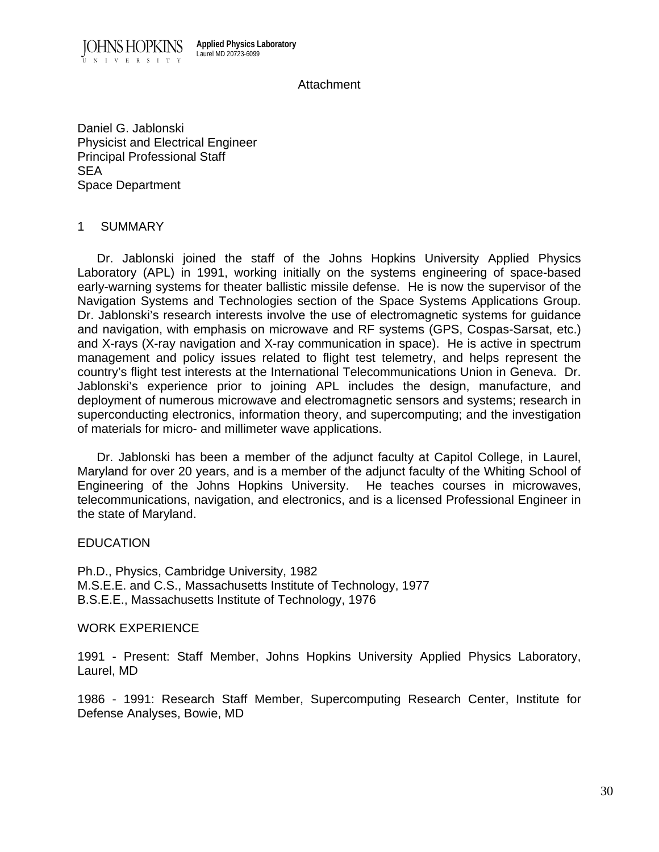

#### Attachment

Daniel G. Jablonski Physicist and Electrical Engineer Principal Professional Staff SEA Space Department

#### 1 SUMMARY

 Dr. Jablonski joined the staff of the Johns Hopkins University Applied Physics Laboratory (APL) in 1991, working initially on the systems engineering of space-based early-warning systems for theater ballistic missile defense. He is now the supervisor of the Navigation Systems and Technologies section of the Space Systems Applications Group. Dr. Jablonski's research interests involve the use of electromagnetic systems for guidance and navigation, with emphasis on microwave and RF systems (GPS, Cospas-Sarsat, etc.) and X-rays (X-ray navigation and X-ray communication in space). He is active in spectrum management and policy issues related to flight test telemetry, and helps represent the country's flight test interests at the International Telecommunications Union in Geneva. Dr. Jablonski's experience prior to joining APL includes the design, manufacture, and deployment of numerous microwave and electromagnetic sensors and systems; research in superconducting electronics, information theory, and supercomputing; and the investigation of materials for micro- and millimeter wave applications.

 Dr. Jablonski has been a member of the adjunct faculty at Capitol College, in Laurel, Maryland for over 20 years, and is a member of the adjunct faculty of the Whiting School of Engineering of the Johns Hopkins University. He teaches courses in microwaves, telecommunications, navigation, and electronics, and is a licensed Professional Engineer in the state of Maryland.

# EDUCATION

Ph.D., Physics, Cambridge University, 1982 M.S.E.E. and C.S., Massachusetts Institute of Technology, 1977 B.S.E.E., Massachusetts Institute of Technology, 1976

#### WORK EXPERIENCE

1991 - Present: Staff Member, Johns Hopkins University Applied Physics Laboratory, Laurel, MD

1986 - 1991: Research Staff Member, Supercomputing Research Center, Institute for Defense Analyses, Bowie, MD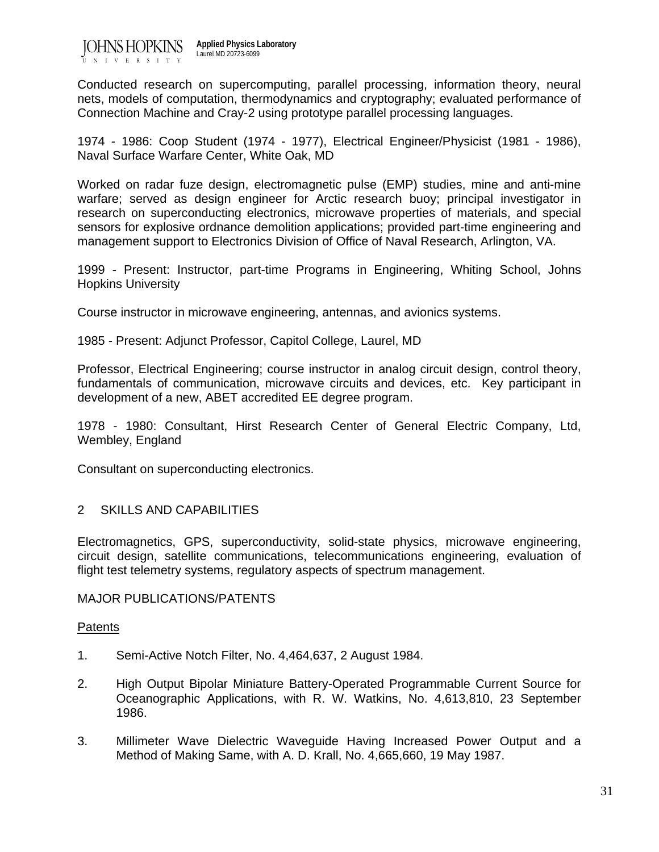

Conducted research on supercomputing, parallel processing, information theory, neural nets, models of computation, thermodynamics and cryptography; evaluated performance of Connection Machine and Cray-2 using prototype parallel processing languages.

1974 - 1986: Coop Student (1974 - 1977), Electrical Engineer/Physicist (1981 - 1986), Naval Surface Warfare Center, White Oak, MD

Worked on radar fuze design, electromagnetic pulse (EMP) studies, mine and anti-mine warfare; served as design engineer for Arctic research buoy; principal investigator in research on superconducting electronics, microwave properties of materials, and special sensors for explosive ordnance demolition applications; provided part-time engineering and management support to Electronics Division of Office of Naval Research, Arlington, VA.

1999 - Present: Instructor, part-time Programs in Engineering, Whiting School, Johns Hopkins University

Course instructor in microwave engineering, antennas, and avionics systems.

1985 - Present: Adjunct Professor, Capitol College, Laurel, MD

Professor, Electrical Engineering; course instructor in analog circuit design, control theory, fundamentals of communication, microwave circuits and devices, etc. Key participant in development of a new, ABET accredited EE degree program.

1978 - 1980: Consultant, Hirst Research Center of General Electric Company, Ltd, Wembley, England

Consultant on superconducting electronics.

# 2 SKILLS AND CAPABILITIES

Electromagnetics, GPS, superconductivity, solid-state physics, microwave engineering, circuit design, satellite communications, telecommunications engineering, evaluation of flight test telemetry systems, regulatory aspects of spectrum management.

#### MAJOR PUBLICATIONS/PATENTS

#### **Patents**

- 1. Semi-Active Notch Filter, No. 4,464,637, 2 August 1984.
- 2. High Output Bipolar Miniature Battery-Operated Programmable Current Source for Oceanographic Applications, with R. W. Watkins, No. 4,613,810, 23 September 1986.
- 3. Millimeter Wave Dielectric Waveguide Having Increased Power Output and a Method of Making Same, with A. D. Krall, No. 4,665,660, 19 May 1987.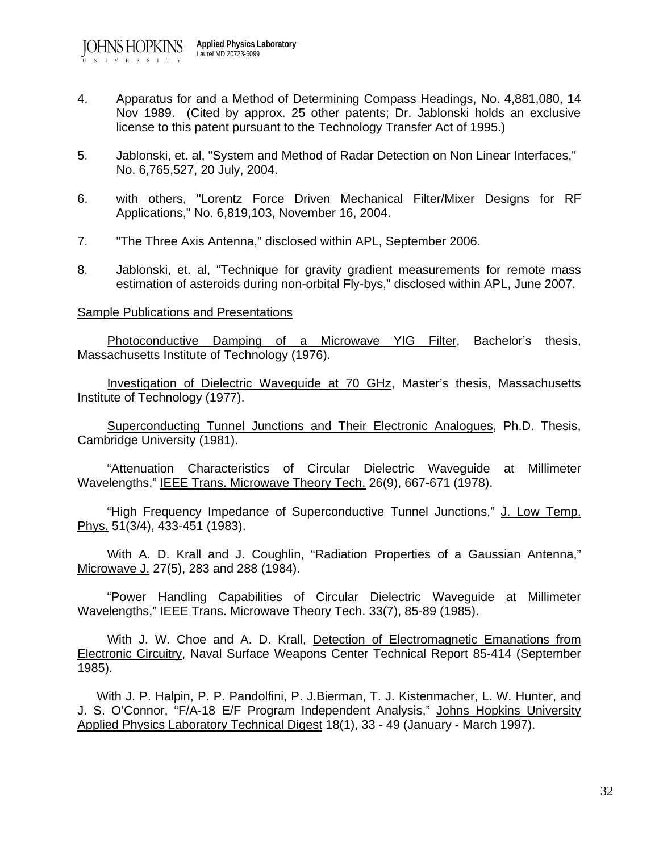- 4. Apparatus for and a Method of Determining Compass Headings, No. 4,881,080, 14 Nov 1989. (Cited by approx. 25 other patents; Dr. Jablonski holds an exclusive license to this patent pursuant to the Technology Transfer Act of 1995.)
- 5. Jablonski, et. al, "System and Method of Radar Detection on Non Linear Interfaces," No. 6,765,527, 20 July, 2004.
- 6. with others, "Lorentz Force Driven Mechanical Filter/Mixer Designs for RF Applications," No. 6,819,103, November 16, 2004.
- 7. "The Three Axis Antenna," disclosed within APL, September 2006.
- 8. Jablonski, et. al, "Technique for gravity gradient measurements for remote mass estimation of asteroids during non-orbital Fly-bys," disclosed within APL, June 2007.

#### Sample Publications and Presentations

Photoconductive Damping of a Microwave YIG Filter, Bachelor's thesis, Massachusetts Institute of Technology (1976).

 Investigation of Dielectric Waveguide at 70 GHz, Master's thesis, Massachusetts Institute of Technology (1977).

 Superconducting Tunnel Junctions and Their Electronic Analogues, Ph.D. Thesis, Cambridge University (1981).

 "Attenuation Characteristics of Circular Dielectric Waveguide at Millimeter Wavelengths," IEEE Trans. Microwave Theory Tech. 26(9), 667-671 (1978).

 "High Frequency Impedance of Superconductive Tunnel Junctions," J. Low Temp. Phys. 51(3/4), 433-451 (1983).

 With A. D. Krall and J. Coughlin, "Radiation Properties of a Gaussian Antenna," Microwave J. 27(5), 283 and 288 (1984).

 "Power Handling Capabilities of Circular Dielectric Waveguide at Millimeter Wavelengths," IEEE Trans. Microwave Theory Tech. 33(7), 85-89 (1985).

 With J. W. Choe and A. D. Krall, Detection of Electromagnetic Emanations from Electronic Circuitry, Naval Surface Weapons Center Technical Report 85-414 (September 1985).

 With J. P. Halpin, P. P. Pandolfini, P. J.Bierman, T. J. Kistenmacher, L. W. Hunter, and J. S. O'Connor, "F/A-18 E/F Program Independent Analysis," Johns Hopkins University Applied Physics Laboratory Technical Digest 18(1), 33 - 49 (January - March 1997).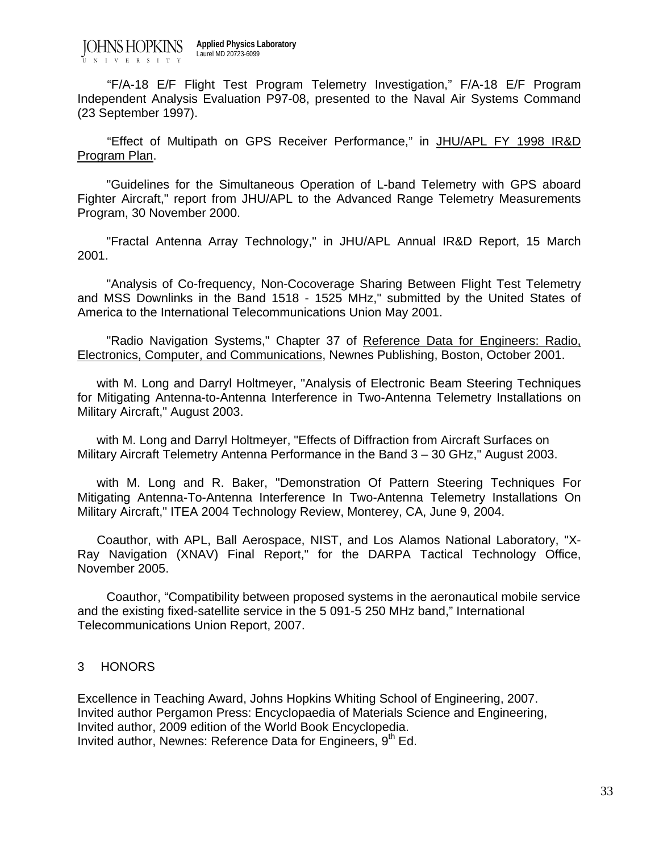JOHNS HOPKINS UNIVERSITY **Applied Physics Laboratory** Laurel MD 20723-6099

 "F/A-18 E/F Flight Test Program Telemetry Investigation," F/A-18 E/F Program Independent Analysis Evaluation P97-08, presented to the Naval Air Systems Command (23 September 1997).

"Effect of Multipath on GPS Receiver Performance," in JHU/APL FY 1998 IR&D Program Plan.

 "Guidelines for the Simultaneous Operation of L-band Telemetry with GPS aboard Fighter Aircraft," report from JHU/APL to the Advanced Range Telemetry Measurements Program, 30 November 2000.

 "Fractal Antenna Array Technology," in JHU/APL Annual IR&D Report, 15 March 2001.

 "Analysis of Co-frequency, Non-Cocoverage Sharing Between Flight Test Telemetry and MSS Downlinks in the Band 1518 - 1525 MHz," submitted by the United States of America to the International Telecommunications Union May 2001.

"Radio Navigation Systems," Chapter 37 of Reference Data for Engineers: Radio, Electronics, Computer, and Communications, Newnes Publishing, Boston, October 2001.

 with M. Long and Darryl Holtmeyer, "Analysis of Electronic Beam Steering Techniques for Mitigating Antenna-to-Antenna Interference in Two-Antenna Telemetry Installations on Military Aircraft," August 2003.

 with M. Long and Darryl Holtmeyer, "Effects of Diffraction from Aircraft Surfaces on Military Aircraft Telemetry Antenna Performance in the Band 3 – 30 GHz," August 2003.

 with M. Long and R. Baker, "Demonstration Of Pattern Steering Techniques For Mitigating Antenna-To-Antenna Interference In Two-Antenna Telemetry Installations On Military Aircraft," ITEA 2004 Technology Review, Monterey, CA, June 9, 2004.

 Coauthor, with APL, Ball Aerospace, NIST, and Los Alamos National Laboratory, "X-Ray Navigation (XNAV) Final Report," for the DARPA Tactical Technology Office, November 2005.

 Coauthor, "Compatibility between proposed systems in the aeronautical mobile service and the existing fixed-satellite service in the 5 091-5 250 MHz band," International Telecommunications Union Report, 2007.

# 3 HONORS

Excellence in Teaching Award, Johns Hopkins Whiting School of Engineering, 2007. Invited author Pergamon Press: Encyclopaedia of Materials Science and Engineering, Invited author, 2009 edition of the World Book Encyclopedia. Invited author, Newnes: Reference Data for Engineers, 9<sup>th</sup> Ed.